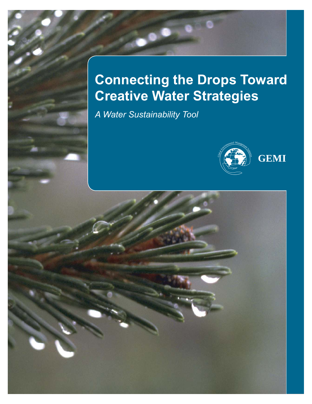# **Connecting the Drops Toward Creative Water Strategies**

*A Water Sustainability Tool*

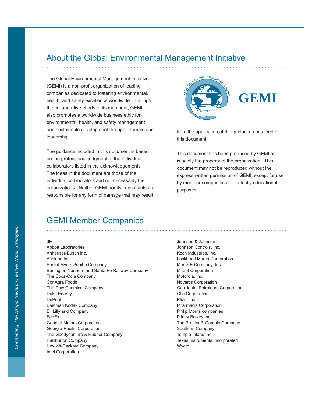# About the Global Environmental Management Initiative

The Global Environmental Management Initiative (GEMI) is a non-profit organization of leading companies dedicated to fostering environmental, health, and safety excellence worldwide. Through the collaborative efforts of its members, GEMI also promotes a worldwide business ethic for environmental, health, and safety management and sustainable development through example and leadership.

The guidance included in this document is based on the professional judgment of the individual collaborators listed in the acknowledgements. The ideas in the document are those of the individual collaborators and not necessarily their organizations. Neither GEMI nor its consultants are responsible for any form of damage that may result



**GEMI**

from the application of the guidance contained in this document.

This document has been produced by GEMI and is solely the property of the organization. This document may not be reproduced without the express written permission of GEMI, except for use by member companies or for strictly educational purposes.

# GEMI Member Companies

### 3M

Abbott Laboratories Anheuser-Busch Inc. Ashland Inc. Bristol-Myers Squibb Company Burlington Northern and Santa Fe Railway Company The Coca-Cola Company ConAgra Foods The Dow Chemical Company Duke Energy DuPont Eastman Kodak Company Eli Lilly and Company FedEx General Motors Corporation Georgia-Pacific Corporation The Goodyear Tire & Rubber Company Halliburton Company Hewlett-Packard Company Intel Corporation

Johnson & Johnson Johnson Controls, Inc. Koch Industries, Inc. Lockheed Martin Corporation Merck & Company, Inc. Mirant Corporation Motorola, Inc. Novartis Corporation Occidental Petroleum Corporation Olin Corporation Pfizer Inc Pharmacia Corporation Philip Morris companies Pitney Bowes Inc. The Procter & Gamble Company Southern Company Temple-Inland Inc. Texas Instruments Incorporated Wyeth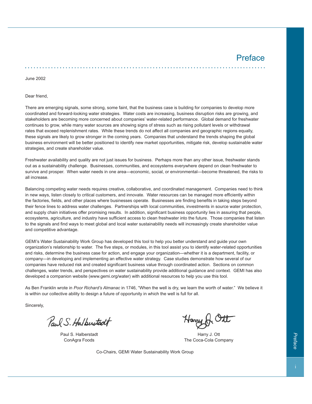# Preface

June 2002

Dear friend,

There are emerging signals, some strong, some faint, that the business case is building for companies to develop more coordinated and forward-looking water strategies. Water costs are increasing, business disruption risks are growing, and stakeholders are becoming more concerned about companies' water-related performance. Global demand for freshwater continues to grow, while many water sources are showing signs of stress such as rising pollutant levels or withdrawal rates that exceed replenishment rates. While these trends do not affect all companies and geographic regions equally, these signals are likely to grow stronger in the coming years. Companies that understand the trends shaping the global business environment will be better positioned to identify new market opportunities, mitigate risk, develop sustainable water strategies, and create shareholder value.

. . . . . . . . . . . . . . .

Freshwater availability and quality are not just issues for business. Perhaps more than any other issue, freshwater stands out as a sustainability challenge. Businesses, communities, and ecosystems everywhere depend on clean freshwater to survive and prosper. When water needs in one area—economic, social, or environmental—become threatened, the risks to all increase.

Balancing competing water needs requires creative, collaborative, and coordinated management. Companies need to think in new ways, listen closely to critical customers, and innovate. Water resources can be managed more efficiently within the factories, fields, and other places where businesses operate. Businesses are finding benefits in taking steps beyond their fence lines to address water challenges. Partnerships with local communities, investments in source water protection, and supply chain initiatives offer promising results. In addition, significant business opportunity lies in assuring that people, ecosystems, agriculture, and industry have sufficient access to clean freshwater into the future. Those companies that listen to the signals and find ways to meet global and local water sustainability needs will increasingly create shareholder value and competitive advantage.

GEMI's Water Sustainability Work Group has developed this tool to help you better understand and guide your own organization's relationship to water. The five steps, or modules, in this tool assist you to identify water-related opportunities and risks, determine the business case for action, and engage your organization—whether it is a department, facility, or company—in developing and implementing an effective water strategy. Case studies demonstrate how several of our companies have reduced risk and created significant business value through coordinated action. Sections on common challenges, water trends, and perspectives on water sustainability provide additional guidance and context. GEMI has also developed a companion website (www.gemi.org/water) with additional resources to help you use this tool.

As Ben Franklin wrote in *Poor Richard's Almanac* in 1746, "When the well is dry, we learn the worth of water." We believe it is within our collective ability to design a future of opportunity in which the well is full for all.

Sincerely,

Paul S. Halberstadt

Paul S. Halberstadt ConAgra Foods

Harry J. Ott The Coca-Cola Company

Co-Chairs, GEMI Water Sustainability Work Group

*Preface*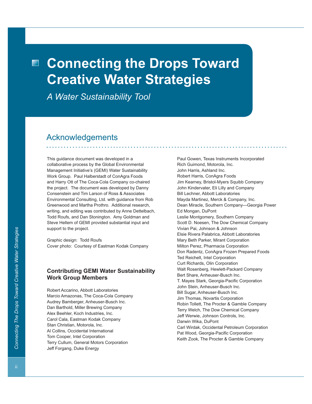# ■ Connecting the Drops Toward **Creative Water Strategies**

*A Water Sustainability Tool*

# Acknowledgements

This guidance document was developed in a collaborative process by the Global Environmental Management Initiative's (GEMI) Water Sustainability Work Group. Paul Halberstadt of ConAgra Foods and Harry Ott of The Coca-Cola Company co-chaired the project. The document was developed by Danny Consenstein and Tim Larson of Ross & Associates Environmental Consulting, Ltd. with guidance from Rob Greenwood and Martha Prothro. Additional research, writing, and editing was contributed by Anne Dettelbach, Todd Roufs, and Dan Stonington. Amy Goldman and Steve Hellem of GEMI provided substantial input and support to the project.

Graphic design: Todd Roufs Cover photo: Courtesy of Eastman Kodak Company

# **Contributing GEMI Water Sustainability Work Group Members**

Robert Accarino, Abbott Laboratories Marcio Amazonas, The Coca-Cola Company Audrey Bamberger, Anheuser-Busch Inc. Dan Barthold, Miller Brewing Company Alex Beehler, Koch Industries, Inc. Carol Cala, Eastman Kodak Company Stan Christian, Motorola, Inc. Al Collins, Occidental International Tom Cooper, Intel Corporation Terry Cullum, General Motors Corporation Jeff Forgang, Duke Energy

Paul Gowen, Texas Instruments Incorporated Rich Guimond, Motorola, Inc. John Harris, Ashland Inc. Robert Harris, ConAgra Foods Jim Kearney, Bristol-Myers Squibb Company John Kindervater, Eli Lilly and Company Bill Lechner, Abbott Laboratories Mayda Martinez, Merck & Company, Inc. Dean Miracle, Southern Company—Georgia Power Ed Mongan, DuPont Leslie Montgomery, Southern Company Scott D. Noesen, The Dow Chemical Company Vivian Pai, Johnson & Johnson Elsie Rivera Palabrica, Abbott Laboratories Mary Beth Parker, Mirant Corporation Milton Perez, Pharmacia Corporation Don Radentz, ConAgra Frozen Prepared Foods Ted Reichelt, Intel Corporation Curt Richards, Olin Corporation Walt Rosenberg, Hewlett-Packard Company Bert Share, Anheuser-Busch Inc. T. Mayes Stark, Georgia-Pacific Corporation John Stein, Anheuser-Busch Inc. Bill Sugar, Anheuser-Busch Inc. Jim Thomas, Novartis Corporation Robin Tollett, The Procter & Gamble Company Terry Welch, The Dow Chemical Company Jeff Werwie, Johnson Controls, Inc. Darwin Wika, DuPont Carl Wirdak, Occidental Petroleum Corporation Pat Wood, Georgia-Pacific Corporation Keith Zook, The Procter & Gamble Company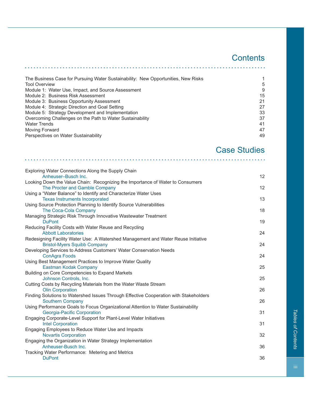# **Contents**

| The Business Case for Pursuing Water Sustainability: New Opportunities, New Risks<br><b>Tool Overview</b><br>Module 1: Water Use, Impact, and Source Assessment<br>Module 2: Business Risk Assessment<br>Module 3: Business Opportunity Assessment<br>Module 4: Strategic Direction and Goal Setting<br>Module 5: Strategy Development and Implementation<br>Overcoming Challenges on the Path to Water Sustainability<br><b>Water Trends</b><br>Moving Forward<br>Perspectives on Water Sustainability | 1<br>5<br>9<br>15<br>21<br>27<br>33<br>37<br>41<br>47<br>49 |
|---------------------------------------------------------------------------------------------------------------------------------------------------------------------------------------------------------------------------------------------------------------------------------------------------------------------------------------------------------------------------------------------------------------------------------------------------------------------------------------------------------|-------------------------------------------------------------|
|                                                                                                                                                                                                                                                                                                                                                                                                                                                                                                         | <b>Case Studies</b>                                         |
|                                                                                                                                                                                                                                                                                                                                                                                                                                                                                                         |                                                             |
| Exploring Water Connections Along the Supply Chain                                                                                                                                                                                                                                                                                                                                                                                                                                                      |                                                             |
| Anheuser-Busch Inc.<br>Looking Down the Value Chain: Recognizing the Importance of Water to Consumers                                                                                                                                                                                                                                                                                                                                                                                                   | 12                                                          |
| The Procter and Gamble Company                                                                                                                                                                                                                                                                                                                                                                                                                                                                          | 12                                                          |
| Using a "Water Balance" to Identify and Characterize Water Uses                                                                                                                                                                                                                                                                                                                                                                                                                                         |                                                             |
| <b>Texas Instruments Incorporated</b><br>Using Source Protection Planning to Identify Source Vulnerabilities                                                                                                                                                                                                                                                                                                                                                                                            | 13                                                          |
| The Coca-Cola Company                                                                                                                                                                                                                                                                                                                                                                                                                                                                                   | 18                                                          |
| Managing Strategic Risk Through Innovative Wastewater Treatment<br><b>DuPont</b>                                                                                                                                                                                                                                                                                                                                                                                                                        | 19                                                          |
| Reducing Facility Costs with Water Reuse and Recycling                                                                                                                                                                                                                                                                                                                                                                                                                                                  |                                                             |
| <b>Abbott Laboratories</b><br>Redesigning Facility Water Use: A Watershed Management and Water Reuse Initiative                                                                                                                                                                                                                                                                                                                                                                                         | 24                                                          |
| <b>Bristol-Myers Squibb Company</b>                                                                                                                                                                                                                                                                                                                                                                                                                                                                     | 24                                                          |
| Developing Services to Address Customers' Water Conservation Needs                                                                                                                                                                                                                                                                                                                                                                                                                                      |                                                             |
| <b>ConAgra Foods</b><br>Using Best Management Practices to Improve Water Quality                                                                                                                                                                                                                                                                                                                                                                                                                        | 24                                                          |
| Eastman Kodak Company                                                                                                                                                                                                                                                                                                                                                                                                                                                                                   | 25                                                          |
| Building on Core Competencies to Expand Markets<br>Johnson Controls, Inc.                                                                                                                                                                                                                                                                                                                                                                                                                               | 25                                                          |
| Cutting Costs by Recycling Materials from the Water Waste Stream                                                                                                                                                                                                                                                                                                                                                                                                                                        |                                                             |
| <b>Olin Corporation</b>                                                                                                                                                                                                                                                                                                                                                                                                                                                                                 | 26                                                          |
| Finding Solutions to Watershed Issues Through Effective Cooperation with Stakeholders<br><b>Southern Company</b>                                                                                                                                                                                                                                                                                                                                                                                        | 26                                                          |
| Using Performance Goals to Focus Organizational Attention to Water Sustainability                                                                                                                                                                                                                                                                                                                                                                                                                       |                                                             |
| Georgia-Pacific Corporation<br>Engaging Corporate-Level Support for Plant-Level Water Initiatives                                                                                                                                                                                                                                                                                                                                                                                                       | 31                                                          |
| <b>Intel Corporation</b>                                                                                                                                                                                                                                                                                                                                                                                                                                                                                | 31                                                          |
| Engaging Employees to Reduce Water Use and Impacts<br><b>Novartis Corporation</b>                                                                                                                                                                                                                                                                                                                                                                                                                       | 32                                                          |
| Engaging the Organization in Water Strategy Implementation                                                                                                                                                                                                                                                                                                                                                                                                                                              |                                                             |
| Anheuser-Busch Inc.                                                                                                                                                                                                                                                                                                                                                                                                                                                                                     | 36                                                          |
| Tracking Water Performance: Metering and Metrics<br><b>DuPont</b>                                                                                                                                                                                                                                                                                                                                                                                                                                       | 36                                                          |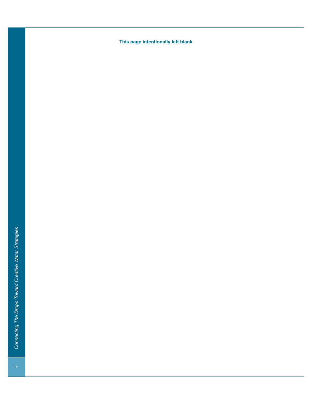**This page intentionally left blank**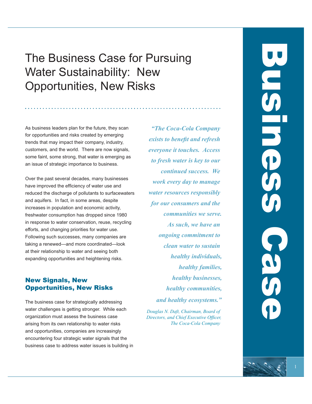# The Business Case for Pursuing Water Sustainability: New Opportunities, New Risks

As business leaders plan for the future, they scan for opportunities and risks created by emerging trends that may impact their company, industry, customers, and the world. There are now signals, some faint, some strong, that water is emerging as an issue of strategic importance to business.

Over the past several decades, many businesses have improved the efficiency of water use and reduced the discharge of pollutants to surfacewaters and aquifers. In fact, in some areas, despite increases in population and economic activity, freshwater consumption has dropped since 1980 in response to water conservation, reuse, recycling efforts, and changing priorities for water use. Following such successes, many companies are taking a renewed—and more coordinated—look at their relationship to water and seeing both expanding opportunities and heightening risks.

# New Signals, New Opportunities, New Risks

The business case for strategically addressing water challenges is getting stronger. While each organization must assess the business case arising from its own relationship to water risks and opportunities, companies are increasingly encountering four strategic water signals that the business case to address water issues is building in

*"The Coca-Cola Company exists to benefit and refresh everyone it touches. Access to fresh water is key to our continued success. We work every day to manage water resources responsibly for our consumers and the communities we serve. As such, we have an ongoing commitment to clean water to sustain healthy individuals, healthy families, healthy businesses, healthy communities,*

*and healthy ecosystems."*

*Douglas N. Daft, Chairman, Board of*  **Directors, and Chief Executive Officer,** *The Coca-Cola Company*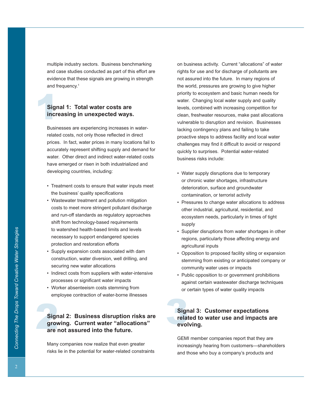multiple industry sectors. Business benchmarking and case studies conducted as part of this effort are evidence that these signals are growing in strength and frequency.1

# Sign<br>incre **Signal 1: Total water costs are increasing in unexpected ways.**

Businesses are experiencing increases in waterrelated costs, not only those reflected in direct prices. In fact, water prices in many locations fail to accurately represent shifting supply and demand for water. Other direct and indirect water-related costs have emerged or risen in both industrialized and developing countries, including:

- Treatment costs to ensure that water inputs meet the business' quality specifications
- Wastewater treatment and pollution mitigation costs to meet more stringent pollutant discharge and run-off standards as regulatory approaches shift from technology-based requirements to watershed health-based limits and levels necessary to support endangered species protection and restoration efforts
- Supply expansion costs associated with dam construction, water diversion, well drilling, and securing new water allocations
- Indirect costs from suppliers with water-intensive processes or significant water impacts
- Worker absenteeism costs stemming from employee contraction of water-borne illnesses

# Signal 2: Business disruption risks are<br>growing. Current water "allocations" evolution are not assured into the future. **Signal 2: Business disruption risks are growing. Current water "allocations" are not assured into the future.**

Many companies now realize that even greater risks lie in the potential for water-related constraints on business activity. Current "allocations" of water rights for use and for discharge of pollutants are not assured into the future. In many regions of the world, pressures are growing to give higher priority to ecosystem and basic human needs for water. Changing local water supply and quality levels, combined with increasing competition for clean, freshwater resources, make past allocations vulnerable to disruption and revision. Businesses lacking contingency plans and failing to take proactive steps to address facility and local water challenges may find it difficult to avoid or respond quickly to surprises. Potential water-related business risks include:

- Water supply disruptions due to temporary or chronic water shortages, infrastructure deterioration, surface and groundwater contamination, or terrorist activity
- Pressures to change water allocations to address other industrial, agricultural, residential, and ecosystem needs, particularly in times of tight supply
- Supplier disruptions from water shortages in other regions, particularly those affecting energy and agricultural inputs
- Opposition to proposed facility siting or expansion stemming from existing or anticipated company or community water uses or impacts
- Public opposition to or government prohibitions against certain wastewater discharge techniques or certain types of water quality impacts

# **Signal 3: Customer expectations related to water use and impacts are evolving.**

GEMI member companies report that they are increasingly hearing from customers—shareholders and those who buy a company's products and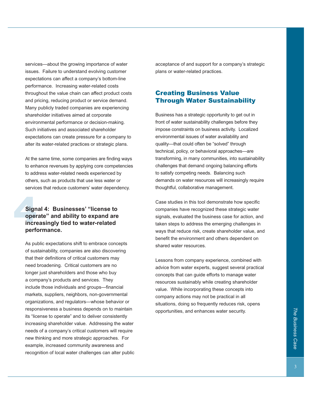services—about the growing importance of water issues. Failure to understand evolving customer expectations can affect a company's bottom-line performance. Increasing water-related costs throughout the value chain can affect product costs and pricing, reducing product or service demand. Many publicly traded companies are experiencing shareholder initiatives aimed at corporate environmental performance or decision-making. Such initiatives and associated shareholder expectations can create pressure for a company to alter its water-related practices or strategic plans.

At the same time, some companies are finding ways to enhance revenues by applying core competencies to address water-related needs experienced by others, such as products that use less water or services that reduce customers' water dependency.

# Sign<br>
opel<br>
incre<br>
norf **Signal 4: Businesses' "license to operate" and ability to expand are increasingly tied to water-related performance.**

As public expectations shift to embrace concepts of sustainability, companies are also discovering that their definitions of critical customers may need broadening. Critical customers are no longer just shareholders and those who buy a company's products and services. They include those individuals and groups-financial markets, suppliers, neighbors, non-governmental organizations, and regulators—whose behavior or responsiveness a business depends on to maintain its "license to operate" and to deliver consistently increasing shareholder value. Addressing the water needs of a company's critical customers will require new thinking and more strategic approaches. For example, increased community awareness and recognition of local water challenges can alter public acceptance of and support for a company's strategic plans or water-related practices.

# Creating Business Value Through Water Sustainability

Business has a strategic opportunity to get out in front of water sustainability challenges before they impose constraints on business activity. Localized environmental issues of water availability and quality—that could often be "solved" through technical, policy, or behavioral approaches—are transforming, in many communities, into sustainability challenges that demand ongoing balancing efforts to satisfy competing needs. Balancing such demands on water resources will increasingly require thoughtful, collaborative management.

Case studies in this tool demonstrate how specific companies have recognized these strategic water signals, evaluated the business case for action, and taken steps to address the emerging challenges in ways that reduce risk, create shareholder value, and benefit the environment and others dependent on shared water resources.

Lessons from company experience, combined with advice from water experts, suggest several practical concepts that can guide efforts to manage water resources sustainably while creating shareholder value. While incorporating these concepts into company actions may not be practical in all situations, doing so frequently reduces risk, opens opportunities, and enhances water security.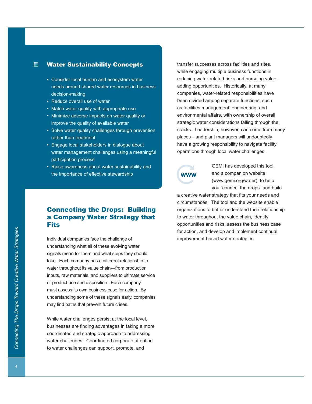### $\blacksquare$ Water Sustainability Concepts

- Consider local human and ecosystem water needs around shared water resources in business decision-making
- Reduce overall use of water
- Match water quality with appropriate use
- Minimize adverse impacts on water quality or improve the quality of available water
- Solve water quality challenges through prevention rather than treatment
- Engage local stakeholders in dialogue about water management challenges using a meaningful participation process
- Raise awareness about water sustainability and the importance of effective stewardship

# Connecting the Drops: Building a Company Water Strategy that **Fits**

Individual companies face the challenge of understanding what all of these evolving water signals mean for them and what steps they should take. Each company has a different relationship to water throughout its value chain—from production inputs, raw materials, and suppliers to ultimate service or product use and disposition. Each company must assess its own business case for action. By understanding some of these signals early, companies may find paths that prevent future crises.

While water challenges persist at the local level, businesses are finding advantages in taking a more coordinated and strategic approach to addressing water challenges. Coordinated corporate attention to water challenges can support, promote, and

transfer successes across facilities and sites, while engaging multiple business functions in reducing water-related risks and pursuing valueadding opportunities. Historically, at many companies, water-related responsibilities have been divided among separate functions, such as facilities management, engineering, and environmental affairs, with ownership of overall strategic water considerations falling through the cracks. Leadership, however, can come from many places—and plant managers will undoubtedly have a growing responsibility to navigate facility operations through local water challenges.



GEMI has developed this tool, and a companion website (www.gemi.org/water), to help you "connect the drops" and build

a creative water strategy that fits your needs and circumstances. The tool and the website enable organizations to better understand their relationship to water throughout the value chain, identify opportunities and risks, assess the business case for action, and develop and implement continual improvement-based water strategies.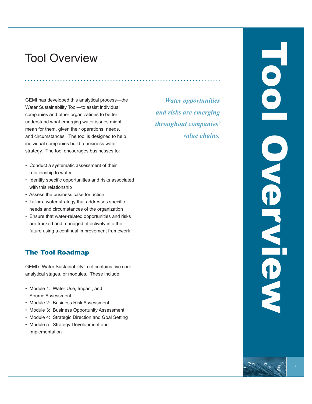# Tool Overview

GEMI has developed this analytical process—the Water Sustainability Tool—to assist individual companies and other organizations to better understand what emerging water issues might mean for them, given their operations, needs, and circumstances. The tool is designed to help individual companies build a business water strategy. The tool encourages businesses to:

*Water opportunities and risks are emerging throughout companies' value chains.*

- Conduct a systematic assessment of their relationship to water
- Identify specific opportunities and risks associated with this relationship
- Assess the business case for action
- Tailor a water strategy that addresses specific needs and circumstances of the organization
- Ensure that water-related opportunities and risks are tracked and managed effectively into the future using a continual improvement framework

# The Tool Roadmap

GEMI's Water Sustainability Tool contains five core analytical stages, or modules. These include:

- Module 1: Water Use, Impact, and Source Assessment
- Module 2: Business Risk Assessment
- Module 3: Business Opportunity Assessment
- Module 4: Strategic Direction and Goal Setting
- Module 5: Strategy Development and Implementation

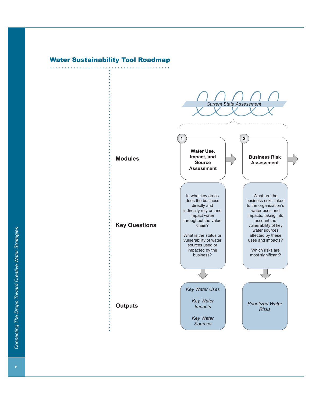# Water Sustainability Tool Roadmap

 $\cdots$ 

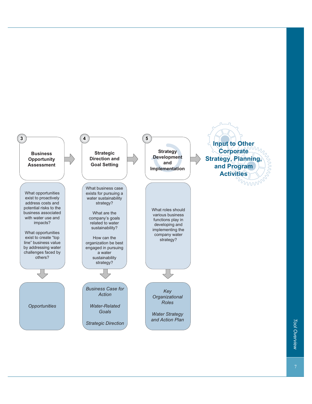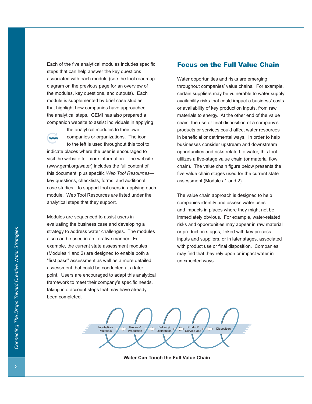Each of the five analytical modules includes specific steps that can help answer the key questions associated with each module (see the tool roadmap diagram on the previous page for an overview of the modules, key questions, and outputs). Each module is supplemented by brief case studies that highlight how companies have approached the analytical steps. GEMI has also prepared a companion website to assist individuals in applying



the analytical modules to their own companies or organizations. The icon to the left is used throughout this tool to

indicate places where the user is encouraged to visit the website for more information. The website (www.gemi.org/water) includes the full content of this document, plus specific Web Tool Resourceskey questions, checklists, forms, and additional case studies—to support tool users in applying each module. Web Tool Resources are listed under the analytical steps that they support.

Modules are sequenced to assist users in evaluating the business case and developing a strategy to address water challenges. The modules also can be used in an iterative manner. For example, the current state assessment modules (Modules 1 and 2) are designed to enable both a "first pass" assessment as well as a more detailed assessment that could be conducted at a later point. Users are encouraged to adapt this analytical framework to meet their company's specific needs, taking into account steps that may have already been completed.

# Focus on the Full Value Chain

Water opportunities and risks are emerging throughout companies' value chains. For example, certain suppliers may be vulnerable to water supply availability risks that could impact a business' costs or availability of key production inputs, from raw materials to energy. At the other end of the value chain, the use or final disposition of a company's products or services could affect water resources in beneficial or detrimental ways. In order to help businesses consider upstream and downstream opportunities and risks related to water, this tool utilizes a five-stage value chain (or material flow chain). The value chain figure below presents the five value chain stages used for the current state assessment (Modules 1 and 2).

The value chain approach is designed to help companies identify and assess water uses and impacts in places where they might not be immediately obvious. For example, water-related risks and opportunities may appear in raw material or production stages, linked with key process inputs and suppliers, or in later stages, associated with product use or final disposition. Companies may find that they rely upon or impact water in unexpected ways.



**Water Can Touch the Full Value Chain**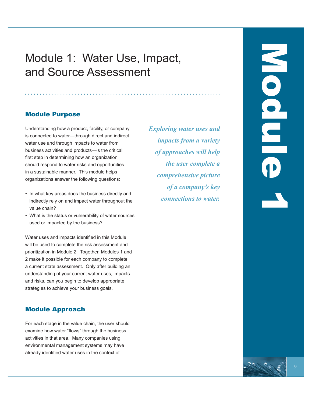# Module 1: Water Use, Impact, and Source Assessment

# Module Purpose

Understanding how a product, facility, or company is connected to water—through direct and indirect water use and through impacts to water from business activities and products—is the critical first step in determining how an organization should respond to water risks and opportunities in a sustainable manner. This module helps organizations answer the following questions:

- In what key areas does the business directly and indirectly rely on and impact water throughout the value chain?
- What is the status or vulnerability of water sources used or impacted by the business?

Water uses and impacts identified in this Module will be used to complete the risk assessment and prioritization in Module 2. Together, Modules 1 and 2 make it possible for each company to complete a current state assessment. Only after building an understanding of your current water uses, impacts and risks, can you begin to develop appropriate strategies to achieve your business goals.

# Module Approach

For each stage in the value chain, the user should examine how water "flows" through the business activities in that area. Many companies using environmental management systems may have already identified water uses in the context of

*Exploring water uses and impacts from a variety of approaches will help the user complete a comprehensive picture of a company's key connections to water.*

# **PODS** Nederle

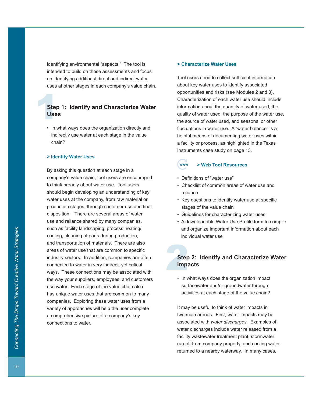identifying environmental "aspects." The tool is intended to build on those assessments and focus on identifying additional direct and indirect water uses at other stages in each company's value chain.

# Step<br>Use: **Step 1: Identify and Characterize Water Uses**

• In what ways does the organization directly and indirectly use water at each stage in the value chain?

### **> Identify Water Uses**

By asking this question at each stage in a company's value chain, tool users are encouraged to think broadly about water use. Tool users should begin developing an understanding of key water uses at the company, from raw material or production stages, through customer use and final disposition. There are several areas of water use and reliance shared by many companies, such as facility landscaping, process heating/ cooling, cleaning of parts during production, and transportation of materials. There are also areas of water use that are common to specific industry sectors. In addition, companies are often connected to water in very indirect, yet critical ways. These connections may be associated with the way your suppliers, employees, and customers use water. Each stage of the value chain also has unique water uses that are common to many companies. Exploring these water uses from a variety of approaches will help the user complete a comprehensive picture of a company's key connections to water.

### **> Characterize Water Uses**

Tool users need to collect sufficient information about key water uses to identify associated opportunities and risks (see Modules 2 and 3). Characterization of each water use should include information about the quantity of water used, the quality of water used, the purpose of the water use, the source of water used, and seasonal or other fluctuations in water use. A "water balance" is a helpful means of documenting water uses within a facility or process, as highlighted in the Texas Instruments case study on page 13.

### www **> Web Tool Resources**

- Definitions of "water use"
- Checklist of common areas of water use and reliance
- Key questions to identify water use at specific stages of the value chain
- Guidelines for characterizing water uses
- A downloadable Water Use Profile form to compile and organize important information about each individual water use

# Step<br>Impa **Step 2: Identify and Characterize Water Impacts**

• In what ways does the organization impact surfacewater and/or groundwater through activities at each stage of the value chain?

It may be useful to think of water impacts in two main arenas. First, water impacts may be associated with *water discharges*. Examples of water discharges include water released from a facility wastewater treatment plant, stormwater run-off from company property, and cooling water returned to a nearby waterway. In many cases,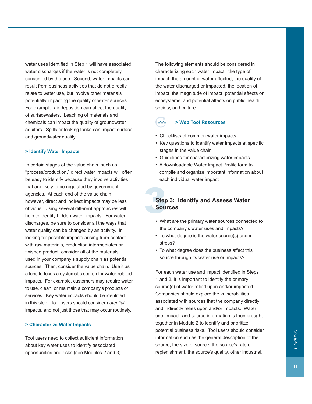water uses identified in Step 1 will have associated water discharges if the water is not completely consumed by the use. Second, water impacts can result from business activities that do not directly relate to water use, but involve other materials potentially impacting the quality of water sources. For example, air deposition can affect the quality of surfacewaters. Leaching of materials and chemicals can impact the quality of groundwater aquifers. Spills or leaking tanks can impact surface and groundwater quality.

### **> Identify Water Impacts**

In certain stages of the value chain, such as "process/production," direct water impacts will often be easy to identify because they involve activities that are likely to be regulated by government agencies. At each end of the value chain, however, direct and indirect impacts may be less obvious. Using several different approaches will help to identify hidden water impacts. For water discharges, be sure to consider all the ways that water quality can be changed by an activity. In looking for possible impacts arising from contact with raw materials, production intermediates or finished product, consider all of the materials used in your company's supply chain as potential sources. Then, consider the value chain. Use it as a lens to focus a systematic search for water-related impacts. For example, customers may require water to use, clean, or maintain a company's products or services. Key water impacts should be identified in this step. Tool users should consider *potential*  impacts, and not just those that may occur routinely.

### **> Characterize Water Impacts**

Tool users need to collect sufficient information about key water uses to identify associated opportunities and risks (see Modules 2 and 3).

The following elements should be considered in characterizing each water impact: the type of impact, the amount of water affected, the quality of the water discharged or impacted, the location of impact, the magnitude of impact, potential affects on ecosystems, and potential affects on public health, society, and culture.

### www **> Web Tool Resources**

- Checklists of common water impacts
- Key questions to identify water impacts at specific stages in the value chain
- Guidelines for characterizing water impacts
- A downloadable Water Impact Profile form to compile and organize important information about each individual water impact

# Step<br>Soul **Step 3: Identify and Assess Water Sources**

- What are the primary water sources connected to the company's water uses and impacts?
- To what degree is the water source(s) under stress?
- To what degree does the business affect this source through its water use or impacts?

For each water use and impact identified in Steps 1 and 2, it is important to identify the primary source(s) of water relied upon and/or impacted. Companies should explore the vulnerabilities associated with sources that the company directly and indirectly relies upon and/or impacts. Water use, impact, and source information is then brought together in Module 2 to identify and prioritize potential business risks. Tool users should consider information such as the general description of the source, the size of source, the source's rate of replenishment, the source's quality, other industrial,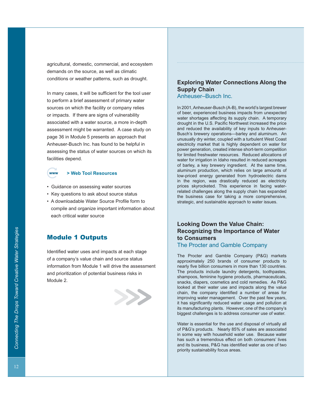agricultural, domestic, commercial, and ecosystem demands on the source, as well as climatic conditions or weather patterns, such as drought.

In many cases, it will be sufficient for the tool user to perform a brief assessment of primary water sources on which the facility or company relies or impacts. If there are signs of vulnerability associated with a water source, a more in-depth assessment might be warranted. A case study on page 36 in Module 5 presents an approach that Anheuser-Busch Inc. has found to be helpful in assessing the status of water sources on which its facilities depend.

### www **> Web Tool Resources**

- Guidance on assessing water sources
- Key questions to ask about source status
- A downloadable Water Source Profile form to compile and organize important information about each critical water source

# Module 1 Outputs

Identified water uses and impacts at each stage of a company's value chain and source status information from Module 1 will drive the assessment and prioritization of potential business risks in Module 2.



# **Exploring Water Connections Along the Supply Chain**  Anheuser–Busch Inc.

In 2001, Anheuser-Busch (A-B), the world's largest brewer of beer, experienced business impacts from unexpected water shortages affecting its supply chain. A temporary drought in the U.S. Pacific Northwest increased the price and reduced the availability of key inputs to Anheuser-Busch's brewery operations—barley and aluminum. An unusually dry winter, coupled with a turbulent West Coast electricity market that is highly dependent on water for power generation, created intense short-term competition for limited freshwater resources. Reduced allocations of water for irrigation in Idaho resulted in reduced acreages of barley, a key brewery ingredient. At the same time, aluminum production, which relies on large amounts of low-priced energy generated from hydroelectric dams in the region, was drastically reduced as electricity prices skyrocketed. This experience in facing waterrelated challenges along the supply chain has expanded the business case for taking a more comprehensive,

# **Looking Down the Value Chain: Recognizing the Importance of Water to Consumers**

strategic, and sustainable approach to water issues.

### The Procter and Gamble Company

The Procter and Gamble Company (P&G) markets approximately 250 brands of consumer products to nearly five billion consumers in more than 130 countries. The products include laundry detergents, toothpastes, shampoos, feminine hygiene products, pharmaceuticals, snacks, diapers, cosmetics and cold remedies. As P&G looked at their water use and impacts along the value chain, the company identified a number of areas for improving water management. Over the past few years, it has significantly reduced water usage and pollution at its manufacturing plants. However, one of the company's biggest challenges is to address consumer use of water.

Water is essential for the use and disposal of virtually all of P&G's products. Nearly 85% of sales are associated in some way with household water use. Because water has such a tremendous effect on both consumers' lives and its business, P&G has identified water as one of two priority sustainability focus areas.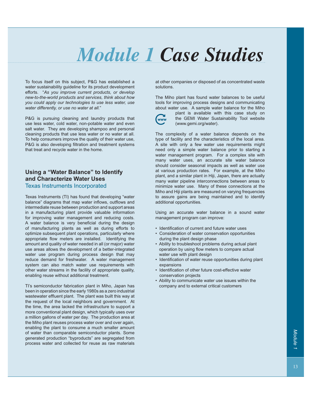# *Module 1 Case Studies*

To focus itself on this subject, P&G has established a water sustainability guideline for its product development efforts. "*As you improve current products, or develop new-to-the-world products and services, think about how you could apply our technologies to use less water, use water differently, or use no water at all.*"

P&G is pursuing cleaning and laundry products that use less water, cold water, non-potable water and even salt water. They are developing shampoo and personal cleaning products that use less water or no water at all. To help consumers improve the quality of their water use, P&G is also developing filtration and treatment systems that treat and recycle water in the home.

# **Using a "Water Balance" to Identify and Characterize Water Uses** Texas Instruments Incorporated

Texas Instruments (TI) has found that developing "water balance" diagrams that map water inflows, outflows and intermediate reuse between production and support areas in a manufacturing plant provide valuable information for improving water management and reducing costs. A water balance is very beneficial during the design of manufacturing plants as well as during efforts to optimize subsequent plant operations, particularly where appropriate flow meters are installed. Identifying the amount and quality of water needed in all (or major) water use areas allows the development of a better-integrated water use program during process design that may reduce demand for freshwater. A water management system can also match water use requirements with other water streams in the facility of appropriate quality, enabling reuse without additional treatment.

TI's semiconductor fabrication plant in Miho, Japan has been in operation since the early 1980s as a zero industrial wastewater effluent plant. The plant was built this way at the request of the local neighbors and government. At the time, the area lacked the infrastructure to support a more conventional plant design, which typically uses over a million gallons of water per day. The production area at the Miho plant reuses process water over and over again, enabling the plant to consume a much smaller amount of water than comparable semiconductor plants. Some generated production "byproducts" are segregated from process water and collected for reuse as raw materials at other companies or disposed of as concentrated waste solutions.

The Miho plant has found water balances to be useful tools for improving process designs and communicating about water use. A sample water balance for the Miho



plant is available with this case study on the GEMI Water Sustainability Tool website (www.gemi.org/water).

The complexity of a water balance depends on the type of facility and the characteristics of the local area. A site with only a few water use requirements might need only a simple water balance prior to starting a water management program. For a complex site with many water uses, an accurate site water balance should consider seasonal impacts as well as water use at various production rates. For example, at the Miho plant, and a similar plant in Hiji, Japan, there are actually many water pipeline interconnections between areas to minimize water use. Many of these connections at the Miho and Hiji plants are measured on varying frequencies to assure gains are being maintained and to identify additional opportunities.

Using an accurate water balance in a sound water management program can improve:

- Identification of current and future water uses
- Consideration of water conservation opportunities during the plant design phase
- Ability to troubleshoot problems during actual plant operation by using flow meters to compare actual water use with plant design
- Identification of water reuse opportunities during plant expansions
- Identification of other future cost-effective water conservation projects
- Ability to communicate water use issues within the company and to external critical customers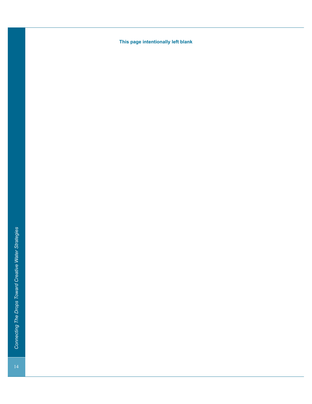**This page intentionally left blank**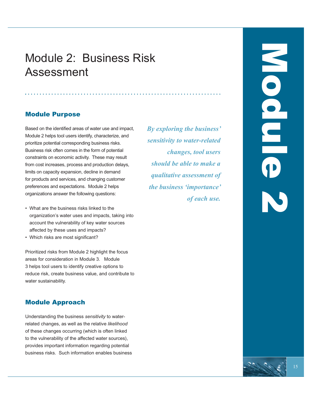# Module 2: Business Risk Assessment

# Module Purpose

Based on the identified areas of water use and impact, Module 2 helps tool users identify, characterize, and prioritize potential corresponding business risks. Business risk often comes in the form of potential constraints on economic activity. These may result from cost increases, process and production delays, limits on capacity expansion, decline in demand for products and services, and changing customer preferences and expectations. Module 2 helps organizations answer the following questions:

- What are the business risks linked to the organization's water uses and impacts, taking into account the vulnerability of key water sources affected by these uses and impacts?
- Which risks are most significant?

Prioritized risks from Module 2 highlight the focus areas for consideration in Module 3. Module 3 helps tool users to identify creative options to reduce risk, create business value, and contribute to water sustainability.

# Module Approach

Understanding the business *sensitivity* to waterrelated changes, as well as the relative *likelihood*  of these changes occurring (which is often linked to the vulnerability of the affected water sources), provides important information regarding potential business risks. Such information enables business *By exploring the business' sensitivity to water-related changes, tool users should be able to make a qualitative assessment of the business 'importance' of each use.*

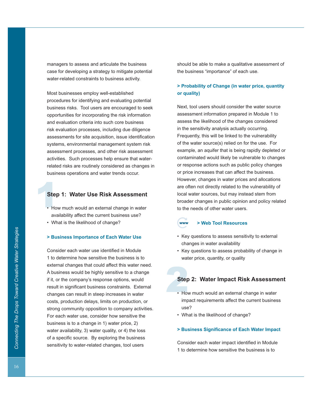managers to assess and articulate the business case for developing a strategy to mitigate potential water-related constraints to business activity.

Most businesses employ well-established procedures for identifying and evaluating potential business risks. Tool users are encouraged to seek opportunities for incorporating the risk information and evaluation criteria into such core business risk evaluation processes, including due diligence assessments for site acquisition, issue identification systems, environmental management system risk assessment processes, and other risk assessment activities. Such processes help ensure that waterrelated risks are routinely considered as changes in business operations and water trends occur.

# **Step 1: Water Use Risk Assessment**

- Step<br>How • How much would an external change in water availability affect the current business use?
	- What is the likelihood of change?

### **> Business Importance of Each Water Use**

Consider each water use identified in Module 1 to determine how sensitive the business is to external changes that could affect this water need. A business would be highly sensitive to a change if it, or the company's response options, would result in significant business constraints. External changes can result in steep increases in water costs, production delays, limits on production, or strong community opposition to company activities. For each water use, consider how sensitive the business is to a change in 1) water price, 2) water availability, 3) water quality, or 4) the loss of a specific source. By exploring the business sensitivity to water-related changes, tool users

should be able to make a qualitative assessment of the business "importance" of each use.

# **> Probability of Change (in water price, quantity or quality)**

Next, tool users should consider the water source assessment information prepared in Module 1 to assess the likelihood of the changes considered in the sensitivity analysis actually occurring. Frequently, this will be linked to the vulnerability of the water source(s) relied on for the use. For example, an aquifer that is being rapidly depleted or contaminated would likely be vulnerable to changes or response actions such as public policy changes or price increases that can affect the business. However, changes in water prices and allocations are often not directly related to the vulnerability of local water sources, but may instead stem from broader changes in public opinion and policy related to the needs of other water users.

### www **> Web Tool Resources**

- Key questions to assess sensitivity to external changes in water availability
- Key questions to assess probability of change in water price, quantity, or quality

# **Step 2: Water Impact Risk Assessment**

- 2 • How much would an external change in water impact requirements affect the current business use?
	- What is the likelihood of change?
	- **> Business Significance of Each Water Impact**

Consider each water impact identified in Module 1 to determine how sensitive the business is to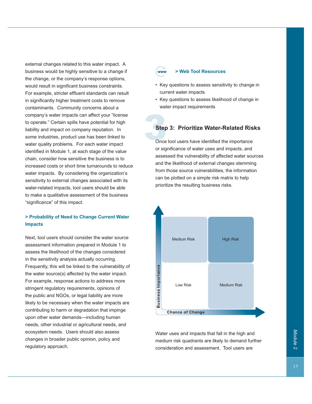external changes related to this water impact. A business would be highly sensitive to a change if the change, or the company's response options, would result in significant business constraints. For example, stricter effluent standards can result in significantly higher treatment costs to remove contaminants. Community concerns about a company's water impacts can affect your "license to operate." Certain spills have potential for high liability and impact on company reputation. In some industries, product use has been linked to water quality problems. For each water impact identified in Module 1, at each stage of the value chain, consider how sensitive the business is to increased costs or short time turnarounds to reduce water impacts. By considering the organization's sensitivity to external changes associated with its water-related impacts, tool users should be able to make a qualitative assessment of the business "significance" of this impact.

# **> Probability of Need to Change Current Water Impacts**

Next, tool users should consider the water source assessment information prepared in Module 1 to assess the likelihood of the changes considered in the sensitivity analysis actually occurring. Frequently, this will be linked to the vulnerability of the water source(s) affected by the water impact. For example, response actions to address more stringent regulatory requirements, opinions of the public and NGOs, or legal liability are more likely to be necessary when the water impacts are contributing to harm or degradation that impinge upon other water demands—including human needs, other industrial or agricultural needs, and ecosystem needs. Users should also assess changes in broader public opinion, policy and regulatory approach.

### **> Web Tool Resources**  www

- Key questions to assess sensitivity to change in current water impacts
- Key questions to assess likelihood of change in water impact requirements

# **Step 3: Prioritize Water-Related Risks**

Step<br>Once Once tool users have identified the importance or significance of water uses and impacts, and assessed the vulnerability of affected water sources and the likelihood of external changes stemming from those source vulnerabilities, the information can be plotted on a simple risk matrix to help prioritize the resulting business risks.



Water uses and impacts that fall in the high and medium risk quadrants are likely to demand further consideration and assessment. Tool users are

17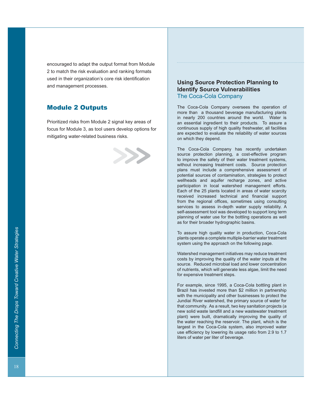encouraged to adapt the output format from Module 2 to match the risk evaluation and ranking formats used in their organization's core risk identification and management processes.

# Module 2 Outputs

Prioritized risks from Module 2 signal key areas of focus for Module 3, as tool users develop options for mitigating water-related business risks.

# **Using Source Protection Planning to Identify Source Vulnerabilities** The Coca-Cola Company

The Coca-Cola Company oversees the operation of more than a thousand beverage manufacturing plants in nearly 200 countries around the world. Water is an essential ingredient to their products. To assure a continuous supply of high quality freshwater, all facilities are expected to evaluate the reliability of water sources on which they depend.

The Coca-Cola Company has recently undertaken source protection planning, a cost-effective program to improve the safety of their water treatment systems, without increasing treatment costs. Source protection plans must include a comprehensive assessment of potential sources of contamination, strategies to protect wellheads and aquifer recharge zones, and active participation in local watershed management efforts. Each of the 25 plants located in areas of water scarcity received increased technical and financial support from the regional offices, sometimes using consulting services to assess in-depth water supply reliability. A self-assessment tool was developed to support long term planning of water use for the bottling operations as well as for their broader hydrographic basins.

To assure high quality water in production, Coca-Cola plants operate a complete multiple-barrier water treatment system using the approach on the following page.

Watershed management initiatives may reduce treatment costs by improving the quality of the water inputs at the source. Reduced microbial load and lower concentration of nutrients, which will generate less algae, limit the need for expensive treatment steps.

For example, since 1995, a Coca-Cola bottling plant in Brazil has invested more than \$2 million in partnership with the municipality and other businesses to protect the Jundiaí River watershed, the primary source of water for that community. As a result, two key sanitation projects (a new solid waste landfill and a new wastewater treatment plant) were built, dramatically improving the quality of the water reaching the reservoir. The plant, which is the largest in the Coca-Cola system, also improved water use efficiency by lowering its usage ratio from 2.9 to 1.7 liters of water per liter of beverage.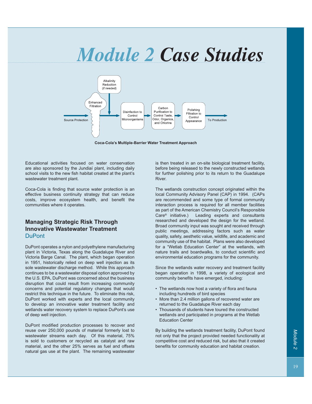# *Module 2 Case Studies*



**Coca-Cola's Multiple-Barrier Water Treatment Approach**

Educational activities focused on water conservation are also sponsored by the Jundiaí plant, including daily school visits to the new fish habitat created at the plant's wastewater treatment plant.

Coca-Cola is finding that source water protection is an effective business continuity strategy that can reduce costs, improve ecosystem health, and benefit the communities where it operates.

# **Managing Strategic Risk Through Innovative Wastewater Treatment DuPont**

DuPont operates a nylon and polyethylene manufacturing plant in Victoria, Texas along the Guadalupe River and Victoria Barge Canal. The plant, which began operation in 1951, historically relied on deep well injection as its sole wastewater discharge method. While this approach continues to be a wastewater disposal option approved by the U.S. EPA, DuPont was concerned about the business disruption that could result from increasing community concerns and potential regulatory changes that would restrict this technique in the future. To eliminate this risk, DuPont worked with experts and the local community to develop an innovative water treatment facility and wetlands water recovery system to replace DuPont's use of deep well injection.

DuPont modified production processes to recover and reuse over 250,000 pounds of material formerly lost to wastewater streams each day. Of this material, 75% is sold to customers or recycled as catalyst and raw material, and the other 25% serves as fuel and offsets natural gas use at the plant. The remaining wastewater is then treated in an on-site biological treatment facility, before being released to the newly constructed wetlands for further polishing prior to its return to the Guadalupe River.

The wetlands construction concept originated within the local Community Advisory Panel (CAP) in 1994. (CAPs are recommended and some type of formal community interaction process is required for all member facilities as part of the American Chemistry Council's Responsible Care® initiative.) Leading experts and consultants researched and developed the design for the wetland. Broad community input was sought and received through public meetings, addressing factors such as water quality, safety, aesthetic value, wildlife, and academic and community use of the habitat. Plans were also developed for a "Wetlab Education Center" at the wetlands, with nature trails and boardwalks, to conduct scientific and environmental education programs for the community.

Since the wetlands water recovery and treatment facility began operation in 1998, a variety of ecological and community benefits have emerged, including:

- The wetlands now host a variety of flora and fauna including hundreds of bird species
- More than 2.4 million gallons of recovered water are returned to the Guadalupe River each day
- Thousands of students have toured the constructed wetlands and participated in programs at the Wetlab Education Center

By building the wetlands treatment facility, DuPont found not only that the project provided needed functionality at competitive cost and reduced risk, but also that it created benefits for community education and habitat creation.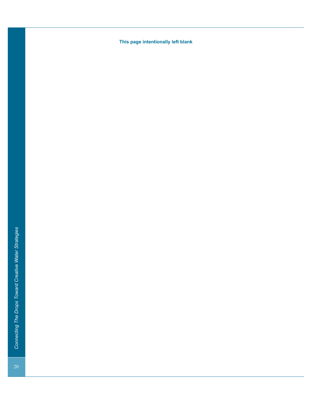**This page intentionally left blank**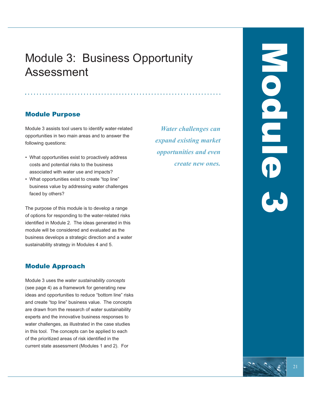# Module 3: Business Opportunity Assessment

# Module Purpose

Module 3 assists tool users to identify water-related opportunities in two main areas and to answer the following questions:

- What opportunities exist to proactively address costs and potential risks to the business associated with water use and impacts?
- What opportunities exist to create "top line" business value by addressing water challenges faced by others?

The purpose of this module is to develop a range of options for responding to the water-related risks identified in Module 2. The ideas generated in this module will be considered and evaluated as the business develops a strategic direction and a water sustainability strategy in Modules 4 and 5.

# Module Approach

Module 3 uses the *water sustainability concepts* (see page 4) as a framework for generating new ideas and opportunities to reduce "bottom line" risks and create "top line" business value. The concepts are drawn from the research of water sustainability experts and the innovative business responses to water challenges, as illustrated in the case studies in this tool. The concepts can be applied to each of the prioritized areas of risk identified in the current state assessment (Modules 1 and 2). For

*Water challenges can expand existing market opportunities and even create new ones.*

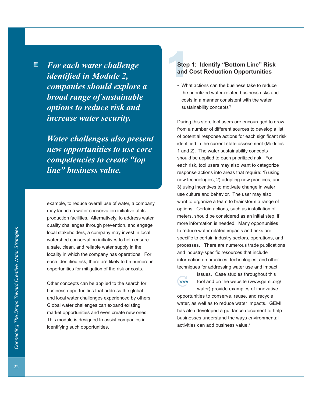$\blacksquare$ *For each water challenge identified in Module 2, companies should explore a broad range of sustainable options to reduce risk and increase water security.*

> *Water challenges also present new opportunities to use core competencies to create "top line" business value.*

example, to reduce overall use of water, a company may launch a water conservation initiative at its production facilities. Alternatively, to address water quality challenges through prevention, and engage local stakeholders, a company may invest in local watershed conservation initiatives to help ensure a safe, clean, and reliable water supply in the locality in which the company has operations. For each identified risk, there are likely to be numerous opportunities for mitigation of the risk or costs.

Other concepts can be applied to the search for business opportunities that address the global and local water challenges experienced by others. Global water challenges can expand existing market opportunities and even create new ones. This module is designed to assist companies in identifying such opportunities.

# Step<br>and **Step 1: Identify "Bottom Line" Risk and Cost Reduction Opportunities**

• What actions can the business take to reduce the prioritized water-related business risks and costs in a manner consistent with the water sustainability concepts?

During this step, tool users are encouraged to draw from a number of different sources to develop a list of potential response actions for each significant risk identified in the current state assessment (Modules 1 and 2). The water sustainability concepts should be applied to each prioritized risk. For each risk, tool users may also want to categorize response actions into areas that require: 1) using new technologies, 2) adopting new practices, and 3) using incentives to motivate change in water use culture and behavior. The user may also want to organize a team to brainstorm a range of options. Certain actions, such as installation of meters, should be considered as an initial step, if more information is needed. Many opportunities to reduce water related impacts and risks are specific to certain industry sectors, operations, and processes.<sup>1</sup> There are numerous trade publications and industry-specific resources that include information on practices, technologies, and other techniques for addressing water use and impact

www

issues. Case studies throughout this tool and on the website (www.gemi.org/ water) provide examples of innovative

opportunities to conserve, reuse, and recycle water, as well as to reduce water impacts. GEMI has also developed a guidance document to help businesses understand the ways environmental activities can add business value.2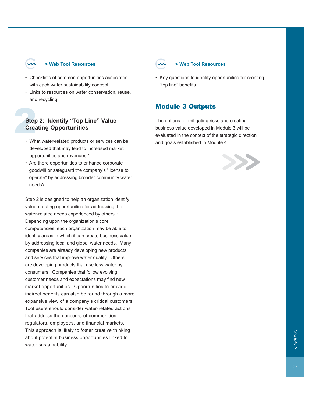# www

### **> Web Tool Resources**

- Checklists of common opportunities associated with each water sustainability concept
- Links to resources on water conservation, reuse, and recycling

# Step<br>Crea **Step 2: Identify "Top Line" Value Creating Opportunities**

- What water-related products or services can be developed that may lead to increased market opportunities and revenues?
- Are there opportunities to enhance corporate goodwill or safeguard the company's "license to operate" by addressing broader community water needs?

Step 2 is designed to help an organization identify value-creating opportunities for addressing the water-related needs experienced by others.<sup>3</sup> Depending upon the organization's core competencies, each organization may be able to identify areas in which it can create business value by addressing local and global water needs. Many companies are already developing new products and services that improve water quality. Others are developing products that use less water by consumers. Companies that follow evolving customer needs and expectations may find new market opportunities. Opportunities to provide indirect benefits can also be found through a more expansive view of a company's critical customers. Tool users should consider water-related actions that address the concerns of communities, regulators, employees, and financial markets. This approach is likely to foster creative thinking about potential business opportunities linked to water sustainability.

### www **> Web Tool Resources**

• Key questions to identify opportunities for creating "top line" benefits

# Module 3 Outputs

The options for mitigating risks and creating business value developed in Module 3 will be evaluated in the context of the strategic direction and goals established in Module 4.

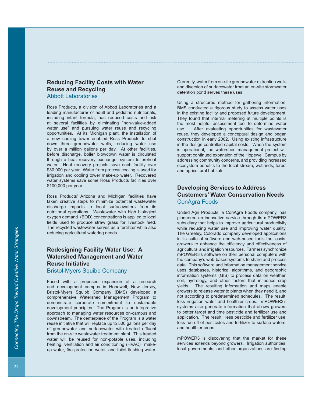# **Reducing Facility Costs with Water Reuse and Recycling** Abbott Laboratories

Ross Products, a division of Abbott Laboratories and a leading manufacturer of adult and pediatric nutritionals, including infant formula, has reduced costs and risk at several facilities by eliminating "non-value-added water use" and pursuing water reuse and recycling opportunities. At its Michigan plant, the installation of a new cooling tower enabled Ross Products to shut down three groundwater wells, reducing water use by over a million gallons per day. At other facilities, before discharge, boiler blowdown water is circulated through a heat recovery exchanger system to preheat water. Heat recovery projects save each facility over \$30,000 per year. Water from process cooling is used for irrigation and cooling tower make-up water. Recovered water systems save some Ross Products facilities over \$100,000 per year.

Ross Products' Arizona and Michigan facilities have taken creative steps to minimize potential wastewater discharge impacts to local surfacewaters from its nutritional operations. Wastewater with high biological oxygen demand (BOD) concentrations is applied to local fields used to produce straw grass for livestock feed. The recycled wastewater serves as a fertilizer while also reducing agricultural watering needs.

# **Redesigning Facility Water Use: A Watershed Management and Water Reuse Initiative** Bristol-Myers Squibb Company

Faced with a proposed expansion of a research and development campus in Hopewell, New Jersey, Bristol-Myers Squibb Company (BMS) developed a comprehensive Watershed Management Program to demonstrate corporate commitment to sustainable development principles. The Program is an integrative approach to managing water resources on-campus and downstream. The centerpiece of the Program is a water reuse initiative that will replace up to 500 gallons per day of groundwater and surfacewater with treated effluent from the on-site wastewater treatment plant. This treated water will be reused for non-potable uses, including heating, ventilation and air conditioning (HVAC) makeup water, fire protection water, and toilet flushing water.

Currently, water from on-site groundwater extraction wells and diversion of surfacewater from an on-site stormwater detention pond serves these uses.

Using a structured method for gathering information, BMS conducted a rigorous study to assess water uses in the existing facility and proposed future development. They found that internal metering at multiple points is the most helpful assessment tool to determine water use. After evaluating opportunities for wastewater reuse, they developed a conceptual design and began construction in early 2002. Using existing infrastructure in the design controlled capital costs. When the system is operational, the watershed management project will support continued expansion of the Hopewell Campus by addressing community concerns, and providing increased ecosystem benefits to the local stream, wetlands, forest and agricultural habitats.

# **Developing Services to Address Customers' Water Conservation Needs** ConAgra Foods

United Agri Products, a ConAgra Foods company, has pioneered an innovative service through its mPOWER3 subsidiary that helps to improve agricultural productivity while reducing water use and improving water quality. The Greeley, Colorado company developed applications in its suite of software and web-based tools that assist growers to enhance the efficiency and effectiveness of agricultural and irrigation resources. Farmers synchronize mPOWER3's software on their personal computers with the company's web-based systems to share and process data. This software and information management service uses databases, historical algorithms, and geographic information systems (GIS) to process data on weather, soil, hydrology, and other factors that influence crop yields. The resulting information and maps enable growers to release water to plants when they need it, and not according to predetermined schedules. The result: less irrigation water and healthier crops. mPOWER3's systems also generate information that allows growers to better target and time pesticide and fertilizer use and application. The result: less pesticide and fertilizer use, less run-off of pesticides and fertilizer to surface waters, and healthier crops.

mPOWER3 is discovering that the market for these services extends beyond growers. Irrigation authorities, local governments, and other organizations are finding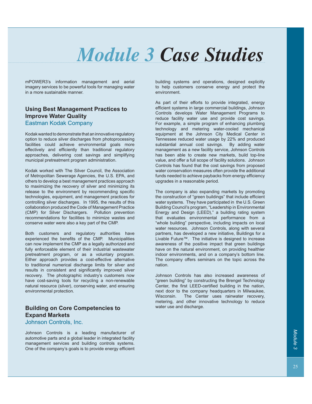# *Module 3 Case Studies*

mPOWER3's information management and aerial imagery services to be powerful tools for managing water in a more sustainable manner.

# **Using Best Management Practices to Improve Water Quality** Eastman Kodak Company

Kodak wanted to demonstrate that an innovative regulatory option to reduce silver discharges from photoprocessing facilities could achieve environmental goals more effectively and efficiently than traditional regulatory approaches, delivering cost savings and simplifying municipal pretreatment program administration.

Kodak worked with The Silver Council, the Association of Metropolitan Sewerage Agencies, the U.S. EPA, and others to develop a best management practices approach to maximizing the recovery of silver and minimizing its release to the environment by recommending specific technologies, equipment, and management practices for controlling silver discharges. In 1995, the results of this collaboration produced the Code of Management Practice (CMP) for Silver Dischargers. Pollution prevention recommendations for facilities to minimize wastes and conserve water were also a key part of the CMP.

Both customers and regulatory authorities have experienced the benefits of the CMP. Municipalities can now implement the CMP as a legally authorized and fully enforceable element of their industrial wastewater pretreatment program, or as a voluntary program. Either approach provides a cost-effective alternative to traditional numerical discharge limits for silver and results in consistent and significantly improved silver recovery. The photographic industry's customers now have cost-saving tools for recycling a non-renewable natural resource (silver), conserving water, and ensuring environmental protection.

# **Building on Core Competencies to Expand Markets**

# Johnson Controls, Inc.

Johnson Controls is a leading manufacturer of automotive parts and a global leader in integrated facility management services and building controls systems. One of the company's goals is to provide energy efficient building systems and operations, designed explicitly to help customers conserve energy and protect the environment.

As part of their efforts to provide integrated, energy efficient systems in large commercial buildings, Johnson Controls develops Water Management Programs to reduce facility water use and provide cost savings. For example, a simple program of enhancing plumbing technology and metering water-cooled mechanical equipment at the Johnson City Medical Center in Tennessee reduced water usage by 22% and produced substantial annual cost savings. By adding water management as a new facility service, Johnson Controls has been able to create new markets, build top-line value, and offer a full scope of facility solutions. Johnson Controls has found that the cost savings from proposed water conservation measures often provide the additional funds needed to achieve paybacks from energy efficiency upgrades in a reasonable period.

The company is also expanding markets by promoting the construction of "green buildings" that include efficient water systems. They have participated in the U.S. Green Building Council's program, "Leadership in Environmental Energy and Design (LEED)," a building rating system that evaluates environmental performance from a "whole building" perspective, including impacts on local water resources. Johnson Controls, along with several partners, has developed a new initiative, Buildings for a Livable Future™. The initiative is designed to increase awareness of the positive impact that green buildings have on the natural environment, on providing healthier indoor environments, and on a company's bottom line. The company offers seminars on the topic across the nation.

Johnson Controls has also increased awareness of "green building" by constructing the Brengel Technology Center, the first LEED-certified building in the nation, next door to the company headquarters in Milwaukee, Wisconsin. The Center uses rainwater recovery, metering, and other innovative technology to reduce water use and discharge.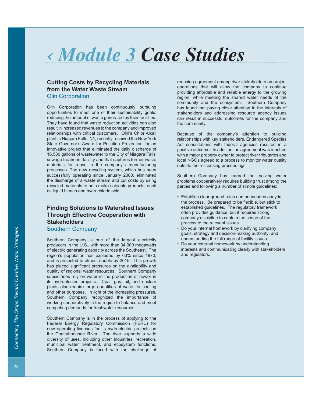# *‹ Module 3 Case Studies*

# **Cutting Costs by Recycling Materials from the Water Waste Stream** Olin Corporation

Olin Corporation has been continuously pursuing opportunities to meet one of their sustainability goals: reducing the amount of waste generated by their facilities. They have found that waste reduction activities can also result in increased revenues to the company and improved relationships with critical customers. Olin's Chlor Alkali plant in Niagara Falls, NY, recently received the New York State Governor's Award for Pollution Prevention for an innovative project that eliminated the daily discharge of 16,500 gallons of wastewater to the City of Niagara Falls' sewage treatment facility and that captures former waste materials for reuse in the company's manufacturing processes. The new recycling system, which has been successfully operating since January 2000, eliminated the discharge of a waste stream and cut costs by using recycled materials to help make saleable products, such as liquid bleach and hydrochloric acid.

# **Finding Solutions to Watershed Issues Through Effective Cooperation with Stakeholders** Southern Company

Southern Company is one of the largest electricity producers in the U.S., with more than 34,000 megawatts of electric generating capacity across the Southeast. The region's population has exploded by 63% since 1970, and is projected to almost double by 2015. This growth has placed significant pressures on the availability and quality of regional water resources. Southern Company subsidiaries rely on water in the production of power in its hydroelectric projects. Coal, gas, oil, and nuclear plants also require large quantities of water for cooling and other purposes. In light of the increasing pressures, Southern Company recognized the importance of working cooperatively in the region to balance and meet competing demands for freshwater resources.

Southern Company is in the process of applying to the Federal Energy Regulatory Commission (FERC) for new operating licenses for its hydroelectric projects on the Chattahoochee River. The river supports a wide diversity of uses, including other industries, recreation, municipal water treatment, and ecosystem functions. Southern Company is faced with the challenge of reaching agreement among river stakeholders on project operations that will allow the company to continue providing affordable and reliable energy to the growing region, while meeting the shared water needs of the community and the ecosystem. Southern Company has found that paying close attention to the interests of stakeholders and addressing resource agency issues can result in successful outcomes for the company and the community.

Because of the company's attention to building relationships with key stakeholders, Endangered Species Act consultations with federal agencies resulted in a positive outcome. In addition, an agreement was reached with a major property owner to protect river tributaries and local NGOs agreed to a process to monitor water quality outside the relicensing proceedings.

Southern Company has learned that solving water problems cooperatively requires building trust among the parties and following a number of simple guidelines:

- Establish clear ground rules and boundaries early in the process. Be prepared to be flexible, but stick to established guidelines. The regulatory framework often provides guidance, but it requires strong company discipline to contain the scope of the process to the relevant issues.
- Do your internal homework by clarifying company goals, strategy and decision-making authority; and understanding the full range of facility issues.
- Do your external homework by understanding interests and communicating clearly with stakeholders and regulators.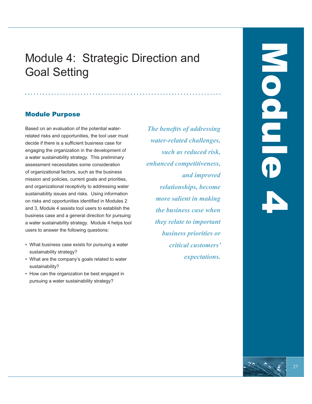# Module 4: Strategic Direction and Goal Setting

# Module Purpose

Based on an evaluation of the potential waterrelated risks and opportunities, the tool user must decide if there is a sufficient business case for engaging the organization in the development of a water sustainability strategy. This preliminary assessment necessitates some consideration of organizational factors, such as the business mission and policies, current goals and priorities, and organizational receptivity to addressing water sustainability issues and risks. Using information on risks and opportunities identified in Modules 2 and 3, Module 4 assists tool users to establish the business case and a general direction for pursuing a water sustainability strategy. Module 4 helps tool users to answer the following questions:

- What business case exists for pursuing a water sustainability strategy?
- What are the company's goals related to water sustainability?
- How can the organization be best engaged in pursuing a water sustainability strategy?

**The benefits of addressing** *water-related challenges, such as reduced risk, enhanced competitiveness, and improved relationships, become more salient in making the business case when they relate to important business priorities or critical customers' expectations.*

**Module 19** NODODOD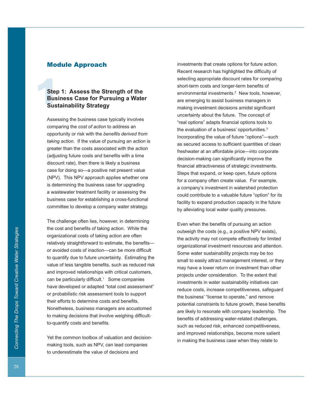# Module Approach

# Step<br>Busi<br>Sust **Step 1: Assess the Strength of the Business Case for Pursuing a Water Sustainability Strategy**

Assessing the business case typically involves comparing the *cost of action* to address an opportunity or risk with the *benefits derived from taking action*. If the value of pursuing an action is greater than the costs associated with the action (adjusting future costs and benefits with a time discount rate), then there is likely a business case for doing so—a positive net present value (NPV). This NPV approach applies whether one is determining the business case for upgrading a wastewater treatment facility or assessing the business case for establishing a cross-functional committee to develop a company water strategy.

The challenge often lies, however, in determining the cost and benefits of taking action. While the organizational costs of taking action are often relatively straightforward to estimate, the benefitsor avoided costs of inaction-can be more difficult to quantify due to future uncertainty. Estimating the value of less tangible benefits, such as reduced risk and improved relationships with critical customers, can be particularly difficult.<sup>1</sup> Some companies have developed or adapted "total cost assessment" or probabilistic risk assessment tools to support their efforts to determine costs and benefits. Nonetheless, business managers are accustomed to making decisions that involve weighing difficultto-quantify costs and benefits.

Yet the common toolbox of valuation and decisionmaking tools, such as NPV, can lead companies to underestimate the value of decisions and

investments that create options for future action. Recent research has highlighted the difficulty of selecting appropriate discount rates for comparing short-term costs and longer-term benefits of environmental investments.2 New tools, however, are emerging to assist business managers in making investment decisions amidst significant uncertainty about the future. The concept of "real options" adapts financial options tools to the evaluation of a business' opportunities.<sup>3</sup> Incorporating the value of future "options"—such as secured access to sufficient quantities of clean freshwater at an affordable price—into corporate decision-making can significantly improve the financial attractiveness of strategic investments. Steps that expand, or keep open, future options for a company often create value. For example, a company's investment in watershed protection could contribute to a valuable future "option" for its facility to expand production capacity in the future by alleviating local water quality pressures.

Even when the benefits of pursuing an action outweigh the costs (e.g., a positive NPV exists), the activity may not compete effectively for limited organizational investment resources and attention. Some water sustainability projects may be too small to easily attract management interest, or they may have a lower return on investment than other projects under consideration. To the extent that investments in water sustainability initiatives can reduce costs, increase competitiveness, safeguard the business' "license to operate," and remove potential constraints to future growth, these benefits are likely to resonate with company leadership. The benefits of addressing water-related challenges, such as reduced risk, enhanced competitiveness, and improved relationships, become more salient in making the business case when they relate to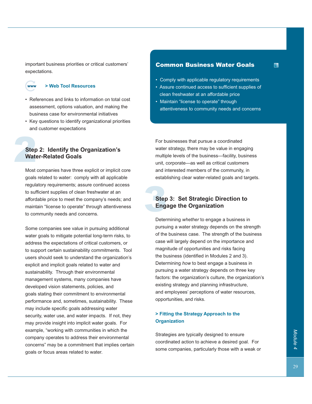important business priorities or critical customers' expectations.

### **> Web Tool Resources**

www

- References and links to information on total cost assessment, options valuation, and making the business case for environmental initiatives
- Key questions to identify organizational priorities and customer expectations

# Step<br>Wate **Step 2: Identify the Organization's Water-Related Goals**

Most companies have three explicit or implicit core goals related to water: comply with all applicable regulatory requirements; assure continued access to sufficient supplies of clean freshwater at an affordable price to meet the company's needs; and maintain "license to operate" through attentiveness to community needs and concerns.

Some companies see value in pursuing additional water goals to mitigate potential long-term risks, to address the expectations of critical customers, or to support certain sustainability commitments. Tool users should seek to understand the organization's explicit and implicit goals related to water and sustainability. Through their environmental management systems, many companies have developed vision statements, policies, and goals stating their commitment to environmental performance and, sometimes, sustainability. These may include specific goals addressing water security, water use, and water impacts. If not, they may provide insight into implicit water goals. For example, "working with communities in which the company operates to address their environmental concerns" may be a commitment that implies certain goals or focus areas related to water.

# Common Business Water Goals

• Comply with applicable regulatory requirements

 $\blacksquare$ 

- Assure continued access to sufficient supplies of clean freshwater at an affordable price
- Maintain "license to operate" through attentiveness to community needs and concerns

For businesses that pursue a coordinated water strategy, there may be value in engaging multiple levels of the business—facility, business unit, corporate—as well as critical customers and interested members of the community, in establishing clear water-related goals and targets.

# Step<br>Eng **Step 3: Set Strategic Direction to Engage the Organization**

Determining *whether* to engage a business in pursuing a water strategy depends on the strength of the business case. The strength of the business case will largely depend on the importance and magnitude of opportunities and risks facing the business (identified in Modules 2 and 3). Determining *how* to best engage a business in pursuing a water strategy depends on three key factors: the organization's culture, the organization's existing strategy and planning infrastructure, and employees' perceptions of water resources, opportunities, and risks.

# **> Fitting the Strategy Approach to the Organization**

Strategies are typically designed to ensure coordinated action to achieve a desired goal. For some companies, particularly those with a weak or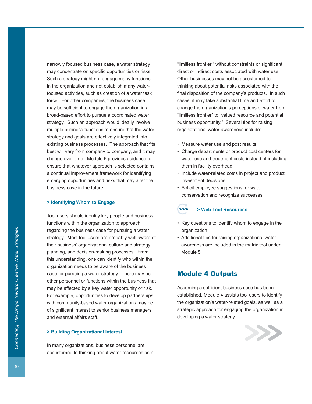narrowly focused business case, a water strategy may concentrate on specific opportunities or risks. Such a strategy might not engage many functions in the organization and not establish many waterfocused activities, such as creation of a water task force. For other companies, the business case may be sufficient to engage the organization in a broad-based effort to pursue a coordinated water strategy. Such an approach would ideally involve multiple business functions to ensure that the water strategy and goals are effectively integrated into existing business processes. The approach that fits best will vary from company to company, and it may change over time. Module 5 provides guidance to ensure that whatever approach is selected contains a continual improvement framework for identifying emerging opportunities and risks that may alter the business case in the future.

## **> Identifying Whom to Engage**

Tool users should identify key people and business functions within the organization to approach regarding the business case for pursuing a water strategy. Most tool users are probably well aware of their business' organizational culture and strategy, planning, and decision-making processes. From this understanding, one can identify who within the organization needs to be aware of the business case for pursuing a water strategy. There may be other personnel or functions within the business that may be affected by a key water opportunity or risk. For example, opportunities to develop partnerships with community-based water organizations may be of significant interest to senior business managers and external affairs staff.

### **> Building Organizational Interest**

In many organizations, business personnel are accustomed to thinking about water resources as a

"limitless frontier," without constraints or significant direct or indirect costs associated with water use. Other businesses may not be accustomed to thinking about potential risks associated with the final disposition of the company's products. In such cases, it may take substantial time and effort to change the organization's perceptions of water from "limitless frontier" to "valued resource and potential business opportunity." Several tips for raising organizational water awareness include:

- Measure water use and post results
- Charge departments or product cost centers for water use and treatment costs instead of including them in facility overhead
- Include water-related costs in project and product investment decisions
- Solicit employee suggestions for water conservation and recognize successes

### www **> Web Tool Resources**

- Key questions to identify whom to engage in the organization
- Additional tips for raising organizational water awareness are included in the matrix tool under Module 5

# Module 4 Outputs

Assuming a sufficient business case has been established, Module 4 assists tool users to identify the organization's water-related goals, as well as a strategic approach for engaging the organization in developing a water strategy.

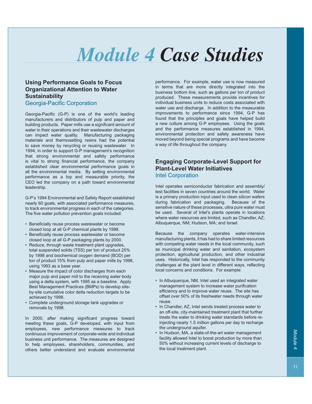# *Module 4 Case Studies*

# **Using Performance Goals to Focus Organizational Attention to Water Sustainability**

## Georgia-Pacific Corporation

Georgia-Pacific (G-P) is one of the world's leading manufacturers and distributors of pulp and paper and building products. Paper mills use a significant amount of water in their operations and their wastewater discharges can impact water quality. Manufacturing packaging materials and thermosetting resins had the potential to save money by recycling or reusing wastewater. In 1994, in order to support G-P management's recognition that strong environmental and safety performance is vital to strong financial performance, the company established clear environmental performance goals in all the environmental media. By setting environmental performance as a top and measurable priority, the CEO led the company on a path toward environmental leadership.

G-P's 1994 Environmental and Safety Report established nearly 60 goals, with associated performance measures, to track environmental progress in each of the categories. The five water pollution prevention goals included:

- Beneficially reuse process wastewater or become closed loop at all G-P chemical plants by 1998.
- Beneficially reuse process wastewater or become closed loop at all G-P packaging plants by 2000.
- Reduce, through waste treatment plant upgrades, total suspended solids (TSS) per ton of product 25% by 1998 and biochemical oxygen demand (BOD) per ton of product 15% from pulp and paper mills by 1998, using 1993 as a base year.
- Measure the impact of color discharges from each major pulp and paper mill to the receiving water body using a delta system, with 1995 as a baseline. Apply Best Management Practices (BMPs) to develop siteby-site cumulative color delta reduction targets to be achieved by 1998.
- Complete underground storage tank upgrades or removals by 1998.

In 2000, after making significant progress toward meeting these goals, G-P developed, with input from employees, new performance measures to track continuous improvement of corporate-wide and individual business unit performance. The measures are designed to help employees, shareholders, communities, and others better understand and evaluate environmental performance. For example, water use is now measured in terms that are more directly integrated into the business bottom line, such as gallons per ton of product produced. These measurements provide incentives for individual business units to reduce costs associated with water use and discharge. In addition to the measurable improvements to performance since 1994, G-P has found that the principles and goals have helped build a new culture among G-P employees. Using the goals and the performance measures established in 1994, environmental protection and safety awareness have moved beyond being special programs and have become a way of life throughout the company.

# **Engaging Corporate-Level Support for Plant-Level Water Initiatives** Intel Corporation

Intel operates semiconductor fabrication and assembly/ test facilities in seven countries around the world. Water is a primary production input used to clean silicon wafers during fabrication and packaging. Because of the sensitive nature of these processes, ultra pure water must be used. Several of Intel's plants operate in locations where water resources are limited, such as Chandler, AZ; Albuquerque, NM; Hudson, MA; and Israel.

Because the company operates water-intensive manufacturing plants, it has had to share limited resources with competing water needs in the local community, such as municipal drinking water and sanitation, ecosystem protection, agricultural production, and other industrial uses. Historically, Intel has responded to the community challenges at the plant level in different ways, reflecting local concerns and conditions. For example:

- In Albuquerque, NM, Intel used an integrated water management system to increase water purification efficiency and to improve water reuse. The site has offset over 50% of its freshwater needs through water reuse.
- In Chandler, AZ, Intel sends treated process water to an off-site, city-maintained treatment plant that further treats the water to drinking water standards before reinjecting nearly 1.5 million gallons per day to recharge the underground aquifer.
- In Hudson, MA, a state-of-the-art water management facility allowed Intel to boost production by more than 50% without increasing current levels of discharge to the local treatment plant.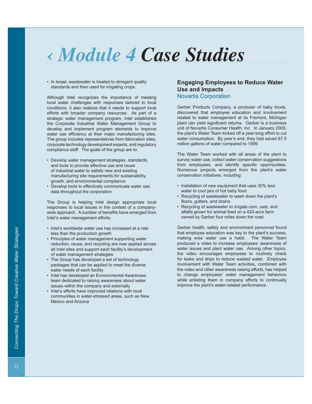# *‹ Module 4 Case Studies*

• In Israel, wastewater is treated to stringent quality standards and then used for irrigating crops.

Although Intel recognizes the importance of meeting local water challenges with responses tailored to local conditions, it also realizes that it needs to support local efforts with broader company resources. As part of a strategic water management program, Intel established the Corporate Industrial Water Management Group to develop and implement program elements to improve water use efficiency at their major manufacturing sites. The group includes representatives from fabrication sites, corporate technology development experts, and regulatory compliance staff. The goals of the group are to:

- Develop water management strategies, standards, and tools to provide effective use and reuse of industrial water to satisfy new and existing manufacturing site requirements for sustainability, growth, and environmental compliance
- Develop tools to effectively communicate water use data throughout the corporation

The Group is helping Intel design appropriate local responses to local issues in the context of a companywide approach. A number of benefits have emerged from Intel's water management efforts:

- Intel's worldwide water use has increased at a rate less than the production growth
- Principles of water management supporting water reduction, reuse, and recycling are now applied across all Intel sites and support each facility's development of water management strategies
- The Group has developed a set of technology packages that can be applied to meet the diverse water needs of each facility
- Intel has developed an Environmental Awareness team dedicated to raising awareness about water issues within the company and externally
- Intel's efforts have improved relations with local communities in water-stressed areas, such as New Mexico and Arizona

# **Engaging Employees to Reduce Water Use and Impacts**

Novartis Corporation

Gerber Products Company, a producer of baby foods, discovered that employee education and involvement related to water management at its Fremont, Michigan plant can yield significant returns. Gerber is a business unit of Novartis Consumer Health, Inc. In January 2000, the plant's Water Team kicked off a year-long effort to cut water consumption. By year's end, they had saved 67.5 million gallons of water compared to 1999.

The Water Team worked with all areas of the plant to survey water use, collect water conservation suggestions from employees, and identify specific opportunities. Numerous projects emerged from the plant's water conservation initiatives, including:

- Installation of new equipment that uses 30% less water to cool jars of hot baby food
- Recycling of wastewater to wash down the plant's floors, gutters, and drains
- Recycling of wastewater to irrigate corn, oats, and alfalfa grown for animal feed on a 420-acre farm owned by Gerber four miles down the road

Gerber health, safety and environment personnel found that employee education was key to the plant's success, making wise water use a habit. The Water Team produced a video to increase employees' awareness of water issues and plant water use. Among other topics, the video encourages employees to routinely check for leaks and drips to reduce wasted water. Employee involvement with Water Team activities, combined with the video and other awareness raising efforts, has helped to change employees' water management behaviors while enlisting them in company efforts to continually improve the plant's water-related performance.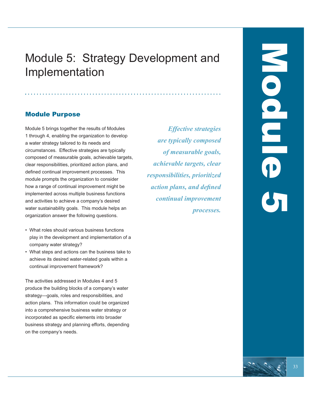# Module 5: Strategy Development and Implementation

# Module Purpose

Module 5 brings together the results of Modules 1 through 4, enabling the organization to develop a water strategy tailored to its needs and circumstances. Effective strategies are typically composed of measurable goals, achievable targets, clear responsibilities, prioritized action plans, and defined continual improvement processes. This module prompts the organization to consider how a range of continual improvement might be implemented across multiple business functions and activities to achieve a company's desired water sustainability goals. This module helps an organization answer the following questions.

- What roles should various business functions play in the development and implementation of a company water strategy?
- What steps and actions can the business take to achieve its desired water-related goals within a continual improvement framework?

The activities addressed in Modules 4 and 5 produce the building blocks of a company's water strategy—goals, roles and responsibilities, and action plans. This information could be organized into a comprehensive business water strategy or incorporated as specific elements into broader business strategy and planning efforts, depending on the company's needs.

*Effective strategies are typically composed of measurable goals, achievable targets, clear responsibilities, prioritized action plans, and defined continual improvement processes.*

# Noole 5 Noodue  $\overline{\mathbf{G}}$

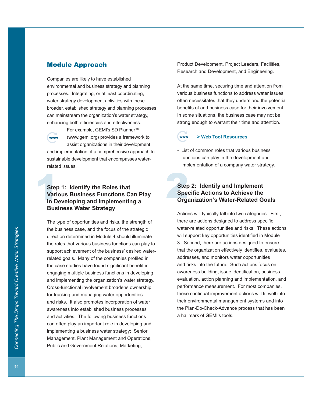# Module Approach

Companies are likely to have established environmental and business strategy and planning processes. Integrating, or at least coordinating, water strategy development activities with these broader, established strategy and planning processes can mainstream the organization's water strategy, enhancing both efficiencies and effectiveness.



For example, GEMI's SD Planner™ (www.gemi.org) provides a framework to assist organizations in their development

and implementation of a comprehensive approach to sustainable development that encompasses waterrelated issues.

# Step 1: Identify the Roles that<br>
Various Business Functions Can Play<br>
in Developing and Implementing a Criga **Step 1: Identify the Roles that Various Business Functions Can Play in Developing and Implementing a Business Water Strategy**

The type of opportunities and risks, the strength of the business case, and the focus of the strategic direction determined in Module 4 should illuminate the roles that various business functions can play to support achievement of the business' desired waterrelated goals. Many of the companies profiled in the case studies have found significant benefit in engaging multiple business functions in developing and implementing the organization's water strategy. Cross-functional involvement broadens ownership for tracking and managing water opportunities and risks. It also promotes incorporation of water awareness into established business processes and activities. The following business functions can often play an important role in developing and implementing a business water strategy: Senior Management, Plant Management and Operations, Public and Government Relations, Marketing,

Product Development, Project Leaders, Facilities, Research and Development, and Engineering.

At the same time, securing time and attention from various business functions to address water issues often necessitates that they understand the potential benefits of and business case for their involvement. In some situations, the business case may not be strong enough to warrant their time and attention.

www

### **> Web Tool Resources**

• List of common roles that various business functions can play in the development and implementation of a company water strategy.

# **Step 2: Identify and Implement Specific Actions to Achieve the Organization's Water-Related Goals**

Actions will typically fall into two categories. First, there are actions designed to address specific water-related opportunities and risks. These actions will support key opportunities identified in Module 3. Second, there are actions designed to ensure that the organization effectively identifies, evaluates, addresses, and monitors water opportunities and risks into the future. Such actions focus on awareness building, issue identification, business evaluation, action planning and implementation, and performance measurement. For most companies, these continual improvement actions will fit well into their environmental management systems and into the Plan-Do-Check-Advance process that has been a hallmark of GEMI's tools.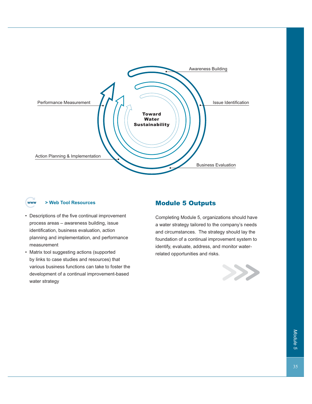



## **> Web Tool Resources**

- Descriptions of the five continual improvement process areas – awareness building, issue identification, business evaluation, action planning and implementation, and performance measurement
- Matrix tool suggesting actions (supported by links to case studies and resources) that various business functions can take to foster the development of a continual improvement-based water strategy

# Module 5 Outputs

Completing Module 5, organizations should have a water strategy tailored to the company's needs and circumstances. The strategy should lay the foundation of a continual improvement system to identify, evaluate, address, and monitor waterrelated opportunities and risks.

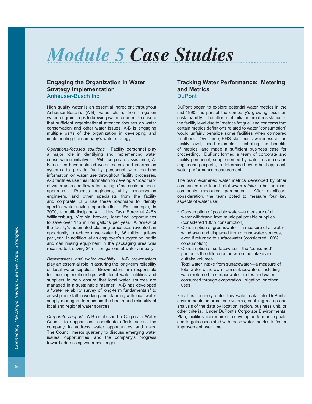# *Module 5 Case Studies*

# **Engaging the Organization in Water Strategy Implementation**

Anheuser-Busch Inc.

High quality water is an essential ingredient throughout Anheuser-Busch's (A-B) value chain, from irrigation water for grain crops to brewing water for beer. To ensure that sufficient organizational attention focuses on water conservation and other water issues, A-B is engaging multiple parts of the organization in developing and implementing the company's water strategy.

*Operations-focused solutions.* Facility personnel play a major role in identifying and implementing water conservation initiatives. With corporate assistance, A-B facilities have installed water meters and information systems to provide facility personnel with real-time information on water use throughout facility processes. A-B facilities use this information to develop a "roadmap" of water uses and flow rates, using a "materials balance" approach. Process engineers, utility conservation engineers, and other specialists from the facility and corporate EHS use these roadmaps to identify specific water-saving opportunities. For example, in 2000, a multi-disciplinary Utilities Task Force at A-B's Williamsburg, Virginia brewery identified opportunities to save over 175 million gallons per year. A review of the facility's automated cleaning processes revealed an opportunity to reduce rinse water by 36 million gallons per year. In addition, at an employee's suggestion, bottle and can rinsing equipment in the packaging area was recalibrated, saving 24 million gallons of water annually.

*Brewmasters and water reliability*. A-B brewmasters play an essential role in assuring the long-term reliability of local water supplies. Brewmasters are responsible for building relationships with local water utilities and suppliers to help ensure that local water sources are managed in a sustainable manner. A-B has developed a "water reliability survey of long-term fundamentals" to assist plant staff in working and planning with local water supply managers to maintain the health and reliability of local and regional water sources.

*Corporate support*. A-B established a Corporate Water Council to support and coordinate efforts across the company to address water opportunities and risks. The Council meets quarterly to discuss emerging water issues, opportunities, and the company's progress toward addressing water challenges.

# **Tracking Water Performance: Metering and Metrics DuPont**

DuPont began to explore potential water metrics in the mid-1990s as part of the company's growing focus on sustainability. The effort met initial internal resistance at the facility level due to "metrics fatigue" and concerns that certain metrics definitions related to water "consumption" would unfairly penalize some facilities when compared to others. Over time, EHS staff built awareness at the facility level, used examples illustrating the benefits of metrics, and made a sufficient business case for proceeding. DuPont formed a team of corporate and facility personnel, supplemented by water resource and engineering experts, to determine how to best approach water performance measurement.

The team examined water metrics developed by other companies and found total *water intake* to be the most commonly measured parameter. After significant consideration, the team opted to measure four key aspects of water use:

- Consumption of potable water—a measure of all water withdrawn from municipal potable supplies (considered 100% consumption)
- Consumption of groundwater—a measure of all water withdrawn and displaced from groundwater sources, even if returned to surfacewater (considered 100% consumption)
- Consumption of surfacewater—the "consumed" portion is the difference between the intake and outtake volumes
- Total water intake from surfacewater—a measure of total water withdrawn from surfacewaters, including water returned to surfacewater bodies and water consumed through evaporation, irrigation, or other uses

Facilities routinely enter this water data into DuPont's environmental information systems, enabling roll-up and analysis of the data by location, region, business unit, or other criteria. Under DuPont's Corporate Environmental Plan, facilities are required to develop performance goals and targets associated with these water metrics to foster improvement over time.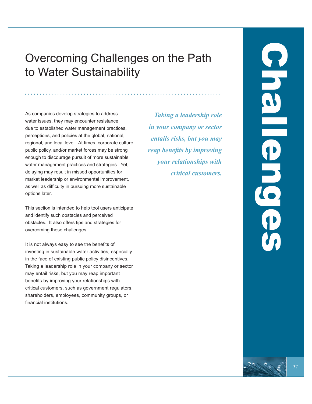# Overcoming Challenges on the Path to Water Sustainability

As companies develop strategies to address water issues, they may encounter resistance due to established water management practices, perceptions, and policies at the global, national, regional, and local level. At times, corporate culture, public policy, and/or market forces may be strong enough to discourage pursuit of more sustainable water management practices and strategies. Yet, delaying may result in missed opportunities for market leadership or environmental improvement, as well as difficulty in pursuing more sustainable options later.

This section is intended to help tool users anticipate and identify such obstacles and perceived obstacles. It also offers tips and strategies for overcoming these challenges.

It is not always easy to see the benefits of investing in sustainable water activities, especially in the face of existing public policy disincentives. Taking a leadership role in your company or sector may entail risks, but you may reap important benefits by improving your relationships with critical customers, such as government regulators, shareholders, employees, community groups, or financial institutions.

*Taking a leadership role in your company or sector entails risks, but you may reap benefits by improving your relationships with critical customers.*

Challenges**SIGE** TODS

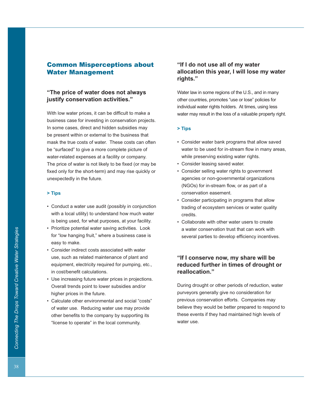# Common Misperceptions about Water Management

# **"The price of water does not always justify conservation activities."**

With low water prices, it can be difficult to make a business case for investing in conservation projects. In some cases, direct and hidden subsidies may be present within or external to the business that mask the true costs of water. These costs can often be "surfaced" to give a more complete picture of water-related expenses at a facility or company. The price of water is not likely to be fixed (or may be fixed only for the short-term) and may rise quickly or unexpectedly in the future.

### **> Tips**

- Conduct a water use audit (possibly in conjunction with a local utility) to understand how much water is being used, for what purposes, at your facility.
- Prioritize potential water saving activities. Look for "low hanging fruit," where a business case is easy to make.
- Consider indirect costs associated with water use, such as related maintenance of plant and equipment, electricity required for pumping, etc., in cost/benefit calculations.
- Use increasing future water prices in projections. Overall trends point to lower subsidies and/or higher prices in the future.
- Calculate other environmental and social "costs" of water use. Reducing water use may provide other benefits to the company by supporting its "license to operate" in the local community.

# **"If I do not use all of my water allocation this year, I will lose my water rights."**

Water law in some regions of the U.S., and in many other countries, promotes "use or lose" policies for individual water rights holders. At times, using less water may result in the loss of a valuable property right.

### **> Tips**

- Consider water bank programs that allow saved water to be used for in-stream flow in many areas, while preserving existing water rights.
- Consider leasing saved water.
- Consider selling water rights to government agencies or non-governmental organizations (NGOs) for in-stream flow, or as part of a conservation easement.
- Consider participating in programs that allow trading of ecosystem services or water quality credits.
- Collaborate with other water users to create a water conservation trust that can work with several parties to develop efficiency incentives.

# **"If I conserve now, my share will be reduced further in times of drought or reallocation."**

During drought or other periods of reduction, water purveyors generally give no consideration for previous conservation efforts. Companies may believe they would be better prepared to respond to these events if they had maintained high levels of water use.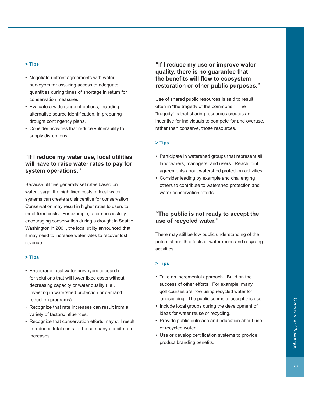### **> Tips**

- Negotiate upfront agreements with water purveyors for assuring access to adequate quantities during times of shortage in return for conservation measures.
- Evaluate a wide range of options, including alternative source identification, in preparing drought contingency plans.
- Consider activities that reduce vulnerability to supply disruptions.

# **"If I reduce my water use, local utilities will have to raise water rates to pay for system operations."**

Because utilities generally set rates based on water usage, the high fixed costs of local water systems can create a disincentive for conservation. Conservation may result in higher rates to users to meet fixed costs. For example, after successfully encouraging conservation during a drought in Seattle, Washington in 2001, the local utility announced that it may need to increase water rates to recover lost revenue.

### **> Tips**

- Encourage local water purveyors to search for solutions that will lower fixed costs without decreasing capacity or water quality (i.e., investing in watershed protection or demand reduction programs).
- Recognize that rate increases can result from a variety of factors/influences.
- Recognize that conservation efforts may still result in reduced total costs to the company despite rate increases.

**"If I reduce my use or improve water quality, there is no guarantee that the benefits will flow to ecosystem restoration or other public purposes."**

Use of shared public resources is said to result often in "the tragedy of the commons." The "tragedy" is that sharing resources creates an incentive for individuals to compete for and overuse, rather than conserve, those resources.

### **> Tips**

- Participate in watershed groups that represent all landowners, managers, and users. Reach joint agreements about watershed protection activities.
- Consider leading by example and challenging others to contribute to watershed protection and water conservation efforts.

# **"The public is not ready to accept the use of recycled water."**

There may still be low public understanding of the potential health effects of water reuse and recycling activities.

### **> Tips**

- Take an incremental approach. Build on the success of other efforts. For example, many golf courses are now using recycled water for landscaping. The public seems to accept this use.
- Include local groups during the development of ideas for water reuse or recycling.
- Provide public outreach and education about use of recycled water.
- Use or develop certification systems to provide product branding benefits.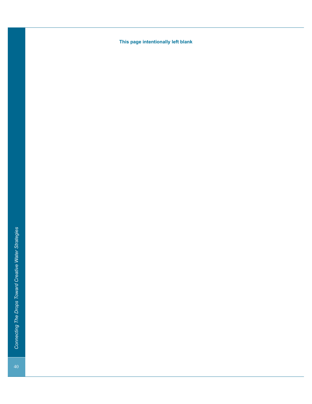**This page intentionally left blank**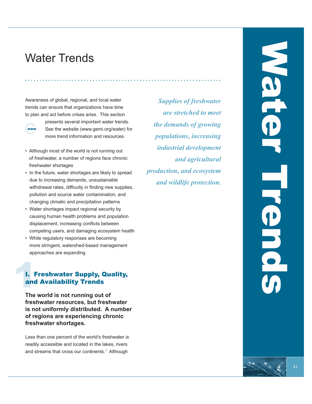# Water Trends

Awareness of global, regional, and local water trends can ensure that organizations have time to plan and act before crises arise. This section



presents several important water trends. See the website (www.gemi.org/water) for more trend information and resources.

- Although most of the world is not running out of freshwater, a number of regions face chronic freshwater shortages
- In the future, water shortages are likely to spread due to increasing demands, unsustainable withdrawal rates, difficulty in finding new supplies, pollution and source water contamination, and changing climatic and precipitation patterns
- Water shortages impact regional security by causing human health problems and population displacement, increasing conflicts between competing users, and damaging ecosystem health
- While regulatory responses are becoming more stringent, watershed-based management approaches are expanding

# I. F<br>and I. Freshwater Supply, Quality, and Availability Trends

**The world is not running out of freshwater resources, but freshwater is not uniformly distributed. A number of regions are experiencing chronic freshwater shortages.** 

Less than one percent of the world's freshwater is readily accessible and located in the lakes, rivers and streams that cross our continents. 1 Although

*Supplies of freshwater are stretched to meet the demands of growing populations, increasing industrial development and agricultural production, and ecosystem and wildlife protection.*

# New Lebnes Neter **HONOIC**

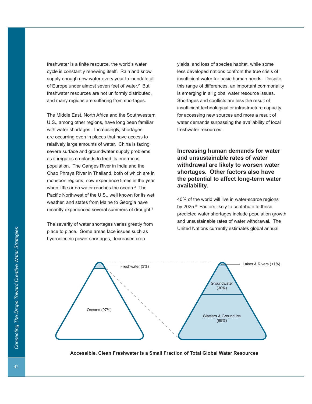freshwater is a finite resource, the world's water cycle is constantly renewing itself. Rain and snow supply enough new water every year to inundate all of Europe under almost seven feet of water.<sup>2</sup> But freshwater resources are not uniformly distributed, and many regions are suffering from shortages.

The Middle East, North Africa and the Southwestern U.S., among other regions, have long been familiar with water shortages. Increasingly, shortages are occurring even in places that have access to relatively large amounts of water. China is facing severe surface and groundwater supply problems as it irrigates croplands to feed its enormous population. The Ganges River in India and the Chao Phraya River in Thailand, both of which are in monsoon regions, now experience times in the year when little or no water reaches the ocean.<sup>3</sup> The Pacific Northwest of the U.S., well known for its wet weather, and states from Maine to Georgia have recently experienced several summers of drought.4

The severity of water shortages varies greatly from place to place. Some areas face issues such as hydroelectric power shortages, decreased crop

yields, and loss of species habitat, while some less developed nations confront the true crisis of insufficient water for basic human needs. Despite this range of differences, an important commonality is emerging in all global water resource issues. Shortages and conflicts are less the result of insufficient technological or infrastructure capacity for accessing new sources and more a result of water demands surpassing the availability of local freshwater resources.

**Increasing human demands for water and unsustainable rates of water withdrawal are likely to worsen water shortages. Other factors also have the potential to affect long-term water availability.**

40% of the world will live in water-scarce regions by 2025.<sup>5</sup> Factors likely to contribute to these predicted water shortages include population growth and unsustainable rates of water withdrawal. The United Nations currently estimates global annual



**Accessible, Clean Freshwater Is a Small Fraction of Total Global Water Resources**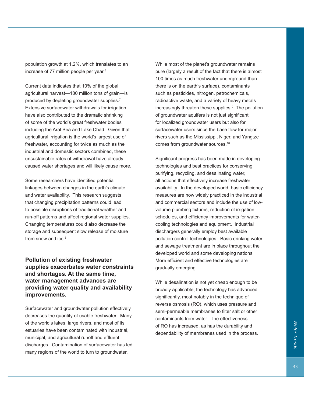population growth at 1.2%, which translates to an increase of 77 million people per year.<sup>6</sup>

Current data indicates that 10% of the global agricultural harvest—180 million tons of grain—is produced by depleting groundwater supplies.<sup>7</sup> Extensive surfacewater withdrawals for irrigation have also contributed to the dramatic shrinking of some of the world's great freshwater bodies including the Aral Sea and Lake Chad. Given that agricultural irrigation is the world's largest use of freshwater, accounting for twice as much as the industrial and domestic sectors combined, these unsustainable rates of withdrawal have already caused water shortages and will likely cause more.

Some researchers have identified potential linkages between changes in the earth's climate and water availability. This research suggests that changing precipitation patterns could lead to possible disruptions of traditional weather and run-off patterns and affect regional water supplies. Changing temperatures could also decrease the storage and subsequent slow release of moisture from snow and ice.<sup>8</sup>

# **Pollution of existing freshwater supplies exacerbates water constraints and shortages. At the same time, water management advances are providing water quality and availability improvements.**

Surfacewater and groundwater pollution effectively decreases the quantity of usable freshwater. Many of the world's lakes, large rivers, and most of its estuaries have been contaminated with industrial, municipal, and agricultural runoff and effluent discharges. Contamination of surfacewater has led many regions of the world to turn to groundwater.

While most of the planet's groundwater remains pure (largely a result of the fact that there is almost 100 times as much freshwater underground than there is on the earth's surface), contaminants such as pesticides, nitrogen, petrochemicals, radioactive waste, and a variety of heavy metals increasingly threaten these supplies.<sup>9</sup> The pollution of groundwater aquifers is not just significant for localized groundwater users but also for surfacewater users since the base flow for major rivers such as the Mississippi, Niger, and Yangtze comes from groundwater sources.10

Significant progress has been made in developing technologies and best practices for conserving, purifying, recycling, and desalinating water, all actions that effectively increase freshwater availability. In the developed world, basic efficiency measures are now widely practiced in the industrial and commercial sectors and include the use of lowvolume plumbing fixtures, reduction of irrigation schedules, and efficiency improvements for watercooling technologies and equipment. Industrial dischargers generally employ best available pollution control technologies. Basic drinking water and sewage treatment are in place throughout the developed world and some developing nations. More efficient and effective technologies are gradually emerging.

While desalination is not yet cheap enough to be broadly applicable, the technology has advanced significantly, most notably in the technique of reverse osmosis (RO), which uses pressure and semi-permeable membranes to filter salt or other contaminants from water. The effectiveness of RO has increased, as has the durability and dependability of membranes used in the process.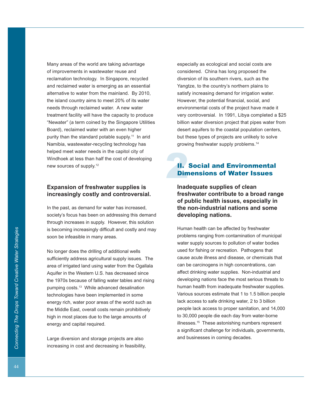Many areas of the world are taking advantage of improvements in wastewater reuse and reclamation technology. In Singapore, recycled and reclaimed water is emerging as an essential alternative to water from the mainland. By 2010, the island country aims to meet 20% of its water needs through reclaimed water. A new water treatment facility will have the capacity to produce "Newater" (a term coined by the Singapore Utilities Board), reclaimed water with an even higher purity than the standard potable supply.<sup>11</sup> In arid Namibia, wastewater-recycling technology has helped meet water needs in the capitol city of Windhoek at less than half the cost of developing new sources of supply.12

# **Expansion of freshwater supplies is increasingly costly and controversial.**

In the past, as demand for water has increased, society's focus has been on addressing this demand through increases in supply. However, this solution is becoming increasingly difficult and costly and may soon be infeasible in many areas.

No longer does the drilling of additional wells sufficiently address agricultural supply issues. The area of irrigated land using water from the Ogallala Aquifer in the Western U.S. has decreased since the 1970s because of falling water tables and rising pumping costs.13 While advanced desalination technologies have been implemented in some energy rich, water poor areas of the world such as the Middle East, overall costs remain prohibitively high in most places due to the large amounts of energy and capital required.

Large diversion and storage projects are also increasing in cost and decreasing in feasibility, especially as ecological and social costs are considered. China has long proposed the diversion of its southern rivers, such as the Yangtze, to the country's northern plains to satisfy increasing demand for irrigation water. However, the potential financial, social, and environmental costs of the project have made it very controversial. In 1991, Libya completed a \$25 billion water diversion project that pipes water from desert aquifers to the coastal population centers, but these types of projects are unlikely to solve growing freshwater supply problems.14

# 2<br>2<br>2<br>2<br>3<br>2<br>3<br>3<br>3<br>3<br>3<br>3<br>3<br>3<br>3<br>3<br>3<br>3<br>3<br>1<br><br><br><br>3 II. Social and Environmental Dimensions of Water Issues

**Inadequate supplies of clean freshwater contribute to a broad range of public health issues, especially in the non-industrial nations and some developing nations.** 

Human health can be affected by freshwater problems ranging from contamination of municipal water supply sources to pollution of water bodies used for fishing or recreation. Pathogens that cause acute illness and disease, or chemicals that can be carcinogens in high concentrations, can affect drinking water supplies. Non-industrial and developing nations face the most serious threats to human health from inadequate freshwater supplies. Various sources estimate that 1 to 1.5 billion people lack access to safe drinking water, 2 to 3 billion people lack access to proper sanitation, and 14,000 to 30,000 people die each day from water-borne illnesses.15 These astonishing numbers represent a significant challenge for individuals, governments, and businesses in coming decades.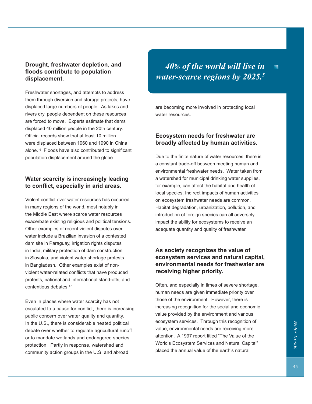# **Drought, freshwater depletion, and fl oods contribute to population displacement.**

Freshwater shortages, and attempts to address them through diversion and storage projects, have displaced large numbers of people. As lakes and rivers dry, people dependent on these resources are forced to move. Experts estimate that dams displaced 40 million people in the 20th century. Official records show that at least 10 million were displaced between 1960 and 1990 in China alone.<sup>16</sup> Floods have also contributed to significant population displacement around the globe.

# **Water scarcity is increasingly leading to confl ict, especially in arid areas.**

Violent conflict over water resources has occurred in many regions of the world, most notably in the Middle East where scarce water resources exacerbate existing religious and political tensions. Other examples of recent violent disputes over water include a Brazilian invasion of a contested dam site in Paraguay, irrigation rights disputes in India, military protection of dam construction in Slovakia, and violent water shortage protests in Bangladesh. Other examples exist of nonviolent water-related conflicts that have produced protests, national and international stand-offs, and contentious debates.17

Even in places where water scarcity has not escalated to a cause for conflict, there is increasing public concern over water quality and quantity. In the U.S., there is considerable heated political debate over whether to regulate agricultural runoff or to mandate wetlands and endangered species protection. Partly in response, watershed and community action groups in the U.S. and abroad

*40% of the world will live in*   $\blacksquare$ *water-scarce regions by 2025.5*

are becoming more involved in protecting local water resources.

# **Ecosystem needs for freshwater are broadly affected by human activities.**

Due to the finite nature of water resources, there is a constant trade-off between meeting human and environmental freshwater needs. Water taken from a watershed for municipal drinking water supplies, for example, can affect the habitat and health of local species. Indirect impacts of human activities on ecosystem freshwater needs are common. Habitat degradation, urbanization, pollution, and introduction of foreign species can all adversely impact the ability for ecosystems to receive an adequate quantity and quality of freshwater.

# **As society recognizes the value of ecosystem services and natural capital, environmental needs for freshwater are receiving higher priority.**

Often, and especially in times of severe shortage, human needs are given immediate priority over those of the environment. However, there is increasing recognition for the social and economic value provided by the environment and various ecosystem services. Through this recognition of value, environmental needs are receiving more attention. A 1997 report titled "The Value of the World's Ecosystem Services and Natural Capital" placed the annual value of the earth's natural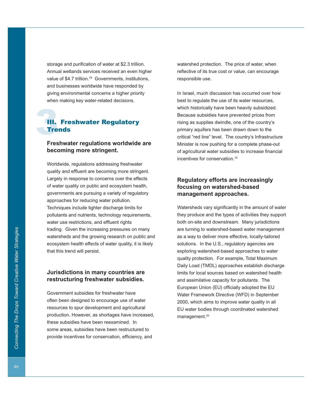storage and purification of water at \$2.3 trillion. Annual wetlands services received an even higher value of \$4.7 trillion.<sup>18</sup> Governments, institutions, and businesses worldwide have responded by giving environmental concerns a higher priority when making key water-related decisions.

# Tre III. Freshwater Regulatory **Trends**

# **Freshwater regulations worldwide are becoming more stringent.**

Worldwide, regulations addressing freshwater quality and effluent are becoming more stringent. Largely in response to concerns over the effects of water quality on public and ecosystem health, governments are pursuing a variety of regulatory approaches for reducing water pollution. Techniques include tighter discharge limits for pollutants and nutrients, technology requirements, water use restrictions, and effluent rights trading. Given the increasing pressures on many watersheds and the growing research on public and ecosystem health effects of water quality, it is likely that this trend will persist.

# **Jurisdictions in many countries are restructuring freshwater subsidies.**

Government subsidies for freshwater have often been designed to encourage use of water resources to spur development and agricultural production. However, as shortages have increased, these subsidies have been reexamined. In some areas, subsidies have been restructured to provide incentives for conservation, efficiency, and

watershed protection. The price of water, when reflective of its true cost or value, can encourage responsible use.

In Israel, much discussion has occurred over how best to regulate the use of its water resources, which historically have been heavily subsidized. Because subsidies have prevented prices from rising as supplies dwindle, one of the country's primary aquifers has been drawn down to the critical "red line" level. The country's Infrastructure Minister is now pushing for a complete phase-out of agricultural water subsidies to increase financial incentives for conservation.19

# **Regulatory efforts are increasingly focusing on watershed-based management approaches.**

Watersheds vary significantly in the amount of water they produce and the types of activities they support both on-site and downstream. Many jurisdictions are turning to watershed-based water management as a way to deliver more effective, locally-tailored solutions. In the U.S., regulatory agencies are exploring watershed-based approaches to water quality protection. For example, Total Maximum Daily Load (TMDL) approaches establish discharge limits for local sources based on watershed health and assimilative capacity for pollutants. The European Union (EU) officially adopted the EU Water Framework Directive (WFD) in September 2000, which aims to improve water quality in all EU water bodies through coordinated watershed management.<sup>20</sup>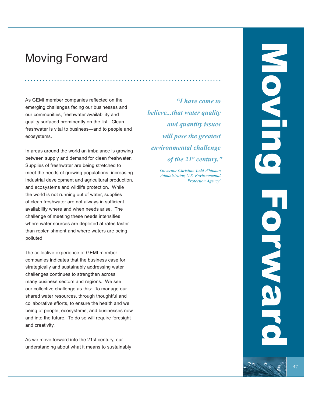# Moving Forward

As GEMI member companies reflected on the emerging challenges facing our businesses and our communities, freshwater availability and quality surfaced prominently on the list. Clean freshwater is vital to business—and to people and ecosystems.

In areas around the world an imbalance is growing between supply and demand for clean freshwater. Supplies of freshwater are being stretched to meet the needs of growing populations, increasing industrial development and agricultural production, and ecosystems and wildlife protection. While the world is not running out of water, supplies of clean freshwater are not always in sufficient availability where and when needs arise. The challenge of meeting these needs intensifies where water sources are depleted at rates faster than replenishment and where waters are being polluted.

The collective experience of GEMI member companies indicates that the business case for strategically and sustainably addressing water challenges continues to strengthen across many business sectors and regions. We see our collective challenge as this: To manage our shared water resources, through thoughtful and collaborative efforts, to ensure the health and well being of people, ecosystems, and businesses now and into the future. To do so will require foresight and creativity.

As we move forward into the 21st century, our understanding about what it means to sustainably

*"I have come to believe...that water quality and quantity issues will pose the greatest environmental challenge of the 21st century."*

> *Governor Christine Todd Whitman, Administrator, U.S. Environmental Protection Agency1*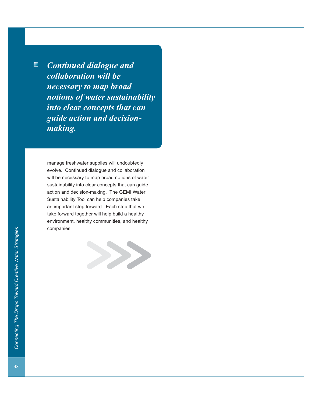*Continued dialogue and*   $\blacksquare$ *collaboration will be necessary to map broad notions of water sustainability into clear concepts that can guide action and decisionmaking.* 

> manage freshwater supplies will undoubtedly evolve. Continued dialogue and collaboration will be necessary to map broad notions of water sustainability into clear concepts that can guide action and decision-making. The GEMI Water Sustainability Tool can help companies take an important step forward. Each step that we take forward together will help build a healthy environment, healthy communities, and healthy companies.

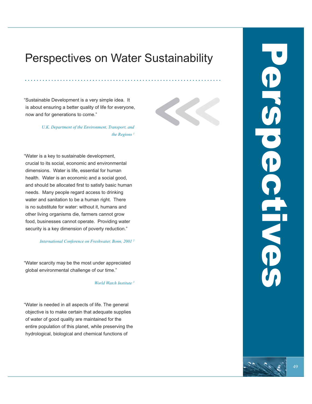# Perspectives on Water Sustainability

"Sustainable Development is a very simple idea. It is about ensuring a better quality of life for everyone, now and for generations to come."

> *U.K. Department of the Environment, Transport, and the Regions 1*

"Water is a key to sustainable development, crucial to its social, economic and environmental dimensions. Water is life, essential for human health. Water is an economic and a social good, and should be allocated first to satisfy basic human needs. Many people regard access to drinking water and sanitation to be a human right. There is no substitute for water: without it, humans and other living organisms die, farmers cannot grow food, businesses cannot operate. Providing water security is a key dimension of poverty reduction."

*International Conference on Freshwater, Bonn, 2001 2*

"Water scarcity may be the most under appreciated global environmental challenge of our time."

*World Watch Institute 3*

"Water is needed in all aspects of life. The general objective is to make certain that adequate supplies of water of good quality are maintained for the entire population of this planet, while preserving the hydrological, biological and chemical functions of

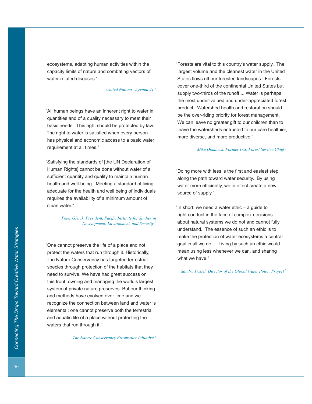ecosystems, adapting human activities within the capacity limits of nature and combating vectors of water-related diseases."

### *United Nations: Agenda 21 4*

"All human beings have an inherent right to water in quantities and of a quality necessary to meet their basic needs. This right should be protected by law. The right to water is satisfied when every person has physical and economic access to a basic water requirement at all times."

"Satisfying the standards of [the UN Declaration of Human Rights] cannot be done without water of a sufficient quantity and quality to maintain human health and well-being. Meeting a standard of living adequate for the health and well being of individuals requires the availability of a minimum amount of clean water."

### Peter Gleick, President, Pacific Institute for Studies in *Development, Environment, and Security 5*

"One cannot preserve the life of a place and not protect the waters that run through it. Historically, The Nature Conservancy has targeted terrestrial species through protection of the habitats that they need to survive. We have had great success on this front, owning and managing the world's largest system of private nature preserves. But our thinking and methods have evolved over time and we recognize the connection between land and water is elemental: one cannot preserve both the terrestrial and aquatic life of a place without protecting the waters that run through it."

*The Nature Conservancy Freshwater Initiative 6*

"Forests are vital to this country's water supply. The largest volume and the cleanest water in the United States flows off our forested landscapes. Forests cover one-third of the continental United States but supply two-thirds of the runoff.... Water is perhaps the most under-valued and under-appreciated forest product. Watershed health and restoration should be the over-riding priority for forest management. We can leave no greater gift to our children than to leave the watersheds entrusted to our care healthier, more diverse, and more productive."

### *Mike Dombeck, Former U.S. Forest Service Chief 7*

"Doing more with less is the first and easiest step along the path toward water security. By using water more efficiently, we in effect create a new source of supply."

"In short, we need a water ethic – a guide to right conduct in the face of complex decisions about natural systems we do not and cannot fully understand. The essence of such an ethic is to make the protection of water ecosystems a central goal in all we do…. Living by such an ethic would mean using less whenever we can, and sharing what we have."

*Sandra Postel, Director of the Global Water Policy Project 8*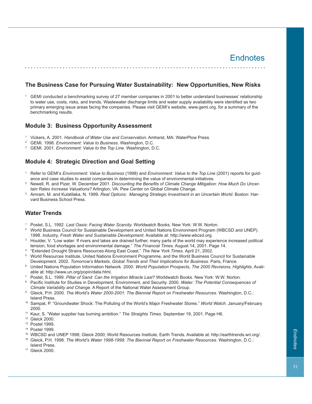# **The Business Case for Pursuing Water Sustainability: New Opportunities, New Risks**

GEMI conducted a benchmarking survey of 27 member companies in 2001 to better understand businesses' relationship to water use, costs, risks, and trends. Wastewater discharge limits and water supply availability were identified as two primary emerging issue areas facing the companies. Please visit GEMI's website, www.gemi.org, for a summary of the benchmarking results.

# **Module 3: Business Opportunity Assessment**

- 1 Vickers, A. 2001. *Handbook of Water Use and Conservation*. Amherst, MA: WaterPlow Press.
- 2 GEMI. 1998. *Environment: Value to Business*. Washington, D.C.
- 3 GEMI. 2001. *Environment: Value to the Top Line*. Washington, D.C.

# **Module 4: Strategic Direction and Goal Setting**

- 1 Refer to GEMI's *Environment: Value to Business* (1998) and *Environment: Value to the Top Line* (2001) reports for guidance and case studies to assist companies in determining the value of environmental initiatives.
- 2 Newell, R. and Pizer, W. December 2001. *Discounting the Benefits of Climate Change Mitigation: How Much Do Uncertain Rates Increase Valuations?* Arlington, VA: Pew Center on Global Climate Change.
- 3 Amram, M. and Kulatilaka, N. 1999. *Real Options: Managing Strategic Investment in an Uncertain World*. Boston: Harvard Business School Press.

# **Water Trends**

- 1 Postel, S.L. 1992. *Last Oasis: Facing Water Scarcity.* Worldwatch Books. New York: W.W. Norton.
- 2 World Business Council for Sustainable Development and United Nations Environment Program (WBCSD and UNEP). 1998. *Industry, Fresh Water and Sustainable Development*. Available at: http://www.wbcsd.org.
- 3 Houlder, V. "Low water: If rivers and lakes are drained further, many parts of the world may experience increased political tension, food shortages and environmental damage." *The Financial Times.* August 14, 2001. Page 14.
- 4 "Extended Drought Strains Resources Along East Coast." *The New York Times.* April 21, 2002.
- 5 World Resources Institute, United Nations Environment Programme, and the World Business Council for Sustainable Development. 2002. *Tomorrow's Markets, Global Trends and Their Implications for Business*. Paris, France.
- 6 United Nations Population Information Network. 2000. *World Population Prospects, The 2000 Revisions, Highlights*. Available at: http://www.un.org/popin/data.html.
- 7 Postel, S.L. 1999. *Pillar of Sand: Can the Irrigation Miracle Last?* Worldwatch Books. New York: W.W. Norton.
- 8 Pacific Institute for Studies in Development, Environment, and Security. 2000. Water: The Potential Consequences of *Climate Variability and Change*. A Report of the National Water Assessment Group.
- 9 Gleick, P.H. 2000. *The World's Water 2000-2001: The Biennial Report on Freshwater Resources.* Washington, D.C.: Island Press.
- 10 Sampat, P. "Groundwater Shock: The Polluting of the World's Major Freshwater Stores." *World Watch*. January/February 2000.
- 11 Kaur, S. "Water supplier has burning ambition." *The Straights Times*. September 19, 2001. Page H6.
- 12 Gleick 2000.
- 13 Postel 1999.
- 14 Postel 1999.
- 15 WBCSD and UNEP 1998; Gleick 2000; World Resources Institute, Earth Trends. Available at: http://earthtrends.wri.org/.
- 16 Gleick, P.H. 1998. *The World's Water 1998-1999: The Biennial Report on Freshwater Resources.* Washington, D.C.: Island Press.
- 17 Gleick 2000.

Endnotes *Endnotes*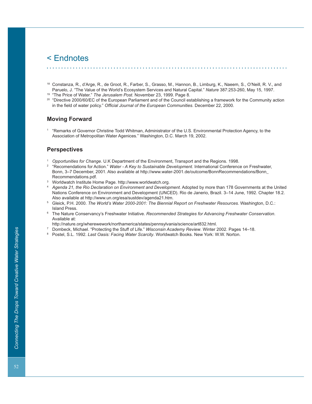# < Endnotes

- 18 Constanza, R., d'Arge, R., de Groot, R., Farber, S., Grasso, M., Hannon, B., Limburg, K., Naeem, S., O'Neill, R. V., and Paruelo, J. "The Value of the World's Ecosystem Services and Natural Capital." *Nature* 387:253-260, May 15, 1997.
- 19 "The Price of Water." *The Jerusalem Post*. November 23, 1999. Page 8.
- <sup>20</sup> "Directive 2000/60/EC of the European Parliament and of the Council establishing a framework for the Community action in the field of water policy." Official Journal of the European Communities. December 22, 2000.

# **Moving Forward**

1 "Remarks of Governor Christine Todd Whitman, Administrator of the U.S. Environmental Protection Agency, to the Association of Metropolitan Water Agenices." Washington, D.C. March 19, 2002.

# **Perspectives**

- <sup>1</sup> *Opportunities for Change*. U.K Department of the Environment, Transport and the Regions. 1998.
- 2 "Recomendations for Action." *Water A Key to Sustainable Development.* International Conference on Freshwater, Bonn, 3–7 December, 2001. Also available at http://www.water-2001.de/outcome/BonnRecommendations/Bonn\_ Recommendations.pdf.
- 3 Worldwatch Institute Home Page. http://www.worldwatch.org.
- 4 *Agenda 21, the Rio Declaration on Environment and Development*. Adopted by more than 178 Governments at the United Nations Conference on Environment and Development (UNCED). Rio de Janerio, Brazil. 3–14 June, 1992. Chapter 18.2. Also available at http://www.un.org/esa/sustdev/agenda21.htm.
- 5 Gleick, P.H. 2000. *The World's Water 2000-2001: The Biennial Report on Freshwater Resources.* Washington, D.C.: Island Press.
- 6 The Nature Conservancy's Freshwater Initiative. *Recommended Strategies for Advancing Freshwater Conservation*. Available at:

http://nature.org/wherewework/northamerica/states/pennsylvania/science/art832.html.

- 7 Dombeck, Michael. "Protecting the Stuff of Life." *Wisconsin Academy Review*. Winter 2002. Pages 14–18.
- 8 Postel, S.L. 1992. *Last Oasis: Facing Water Scarcity*. Worldwatch Books. New York: W.W. Norton.